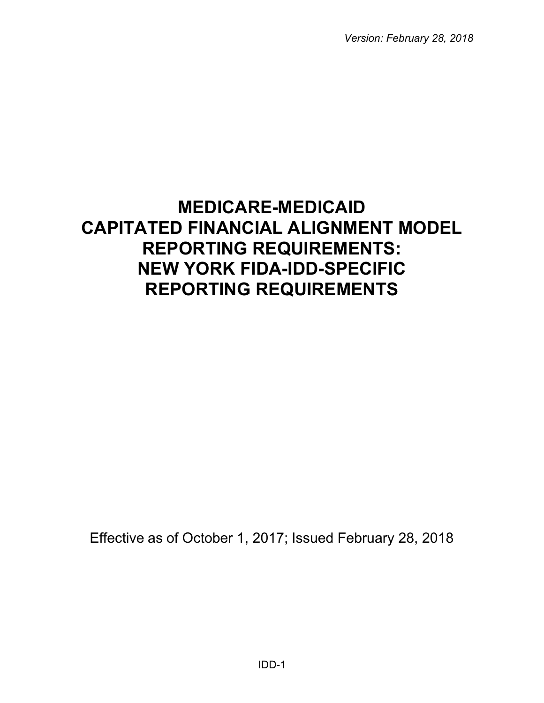*Version: February 28, 2018*

# **MEDICARE-MEDICAID CAPITATED FINANCIAL ALIGNMENT MODEL REPORTING REQUIREMENTS: NEW YORK FIDA-IDD-SPECIFIC REPORTING REQUIREMENTS**

Effective as of October 1, 2017; Issued February 28, 2018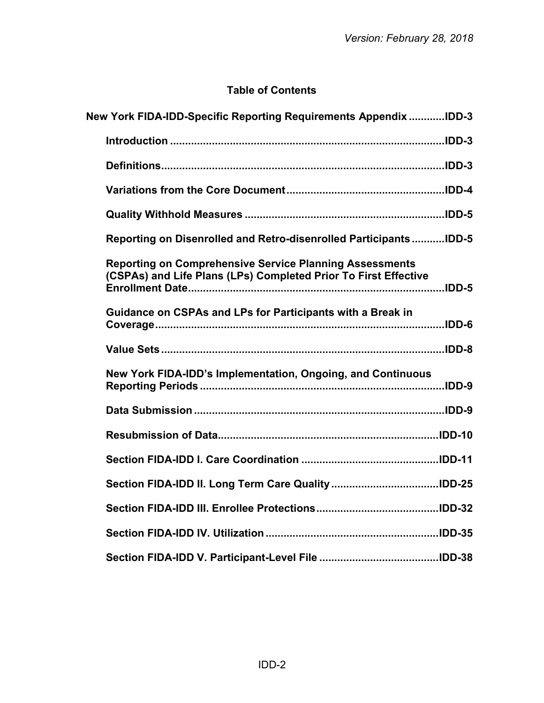# **Table of Contents**

| New York FIDA-IDD-Specific Reporting Requirements Appendix IDD-3                                                                  |  |
|-----------------------------------------------------------------------------------------------------------------------------------|--|
|                                                                                                                                   |  |
|                                                                                                                                   |  |
|                                                                                                                                   |  |
|                                                                                                                                   |  |
| Reporting on Disenrolled and Retro-disenrolled ParticipantsIDD-5                                                                  |  |
| <b>Reporting on Comprehensive Service Planning Assessments</b><br>(CSPAs) and Life Plans (LPs) Completed Prior To First Effective |  |
| Guidance on CSPAs and LPs for Participants with a Break in                                                                        |  |
|                                                                                                                                   |  |
| New York FIDA-IDD's Implementation, Ongoing, and Continuous                                                                       |  |
|                                                                                                                                   |  |
|                                                                                                                                   |  |
|                                                                                                                                   |  |
|                                                                                                                                   |  |
|                                                                                                                                   |  |
|                                                                                                                                   |  |
|                                                                                                                                   |  |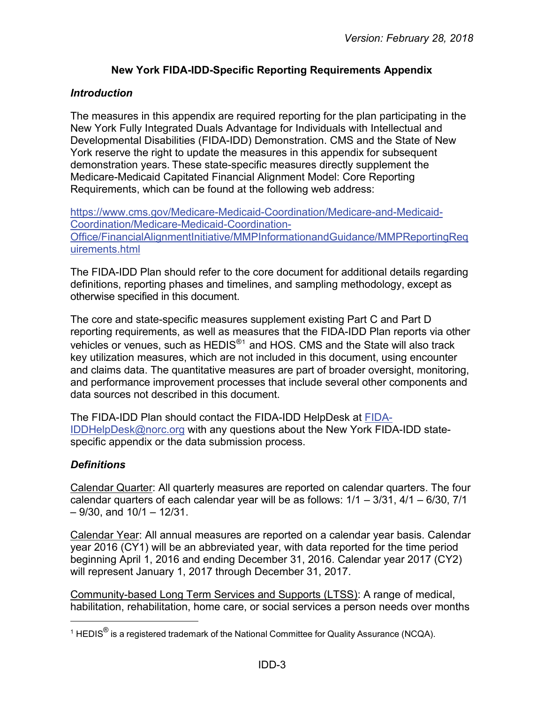# **New York FIDA-IDD-Specific Reporting Requirements Appendix**

#### <span id="page-2-1"></span><span id="page-2-0"></span>*Introduction*

The measures in this appendix are required reporting for the plan participating in the New York Fully Integrated Duals Advantage for Individuals with Intellectual and Developmental Disabilities (FIDA-IDD) Demonstration. CMS and the State of New York reserve the right to update the measures in this appendix for subsequent demonstration years. These state-specific measures directly supplement the Medicare-Medicaid Capitated Financial Alignment Model: Core Reporting Requirements, which can be found at the following web address:

[https://www.cms.gov/Medicare-Medicaid-Coordination/Medicare-and-Medicaid-](https://www.cms.gov/Medicare-Medicaid-Coordination/Medicare-and-Medicaid-Coordination/Medicare-Medicaid-Coordination-Office/FinancialAlignmentInitiative/MMPInformationandGuidance/MMPReportingRequirements.html)[Coordination/Medicare-Medicaid-Coordination-](https://www.cms.gov/Medicare-Medicaid-Coordination/Medicare-and-Medicaid-Coordination/Medicare-Medicaid-Coordination-Office/FinancialAlignmentInitiative/MMPInformationandGuidance/MMPReportingRequirements.html)[Office/FinancialAlignmentInitiative/MMPInformationandGuidance/MMPReportingReq](https://www.cms.gov/Medicare-Medicaid-Coordination/Medicare-and-Medicaid-Coordination/Medicare-Medicaid-Coordination-Office/FinancialAlignmentInitiative/MMPInformationandGuidance/MMPReportingRequirements.html) [uirements.html](https://www.cms.gov/Medicare-Medicaid-Coordination/Medicare-and-Medicaid-Coordination/Medicare-Medicaid-Coordination-Office/FinancialAlignmentInitiative/MMPInformationandGuidance/MMPReportingRequirements.html)

The FIDA-IDD Plan should refer to the core document for additional details regarding definitions, reporting phases and timelines, and sampling methodology, except as otherwise specified in this document.

The core and state-specific measures supplement existing Part C and Part D reporting requirements, as well as measures that the FIDA-IDD Plan reports via other vehicles or venues, such as HEDIS<sup>®[1](#page-2-3)</sup> and HOS. CMS and the State will also track key utilization measures, which are not included in this document, using encounter and claims data. The quantitative measures are part of broader oversight, monitoring, and performance improvement processes that include several other components and data sources not described in this document.

The FIDA-IDD Plan should contact the FIDA-IDD HelpDesk at [FIDA-](mailto:FIDA-IDDHelpDesk@norc.org)[IDDHelpDesk@norc.org](mailto:FIDA-IDDHelpDesk@norc.org) with any questions about the New York FIDA-IDD statespecific appendix or the data submission process.

## <span id="page-2-2"></span>*Definitions*

l

Calendar Quarter: All quarterly measures are reported on calendar quarters. The four calendar quarters of each calendar year will be as follows: 1/1 – 3/31, 4/1 – 6/30, 7/1  $-9/30$ , and  $10/1 - 12/31$ .

Calendar Year: All annual measures are reported on a calendar year basis. Calendar year 2016 (CY1) will be an abbreviated year, with data reported for the time period beginning April 1, 2016 and ending December 31, 2016. Calendar year 2017 (CY2) will represent January 1, 2017 through December 31, 2017.

Community-based Long Term Services and Supports (LTSS): A range of medical, habilitation, rehabilitation, home care, or social services a person needs over months

<span id="page-2-3"></span><sup>&</sup>lt;sup>1</sup> HEDIS<sup>®</sup> is a registered trademark of the National Committee for Quality Assurance (NCQA).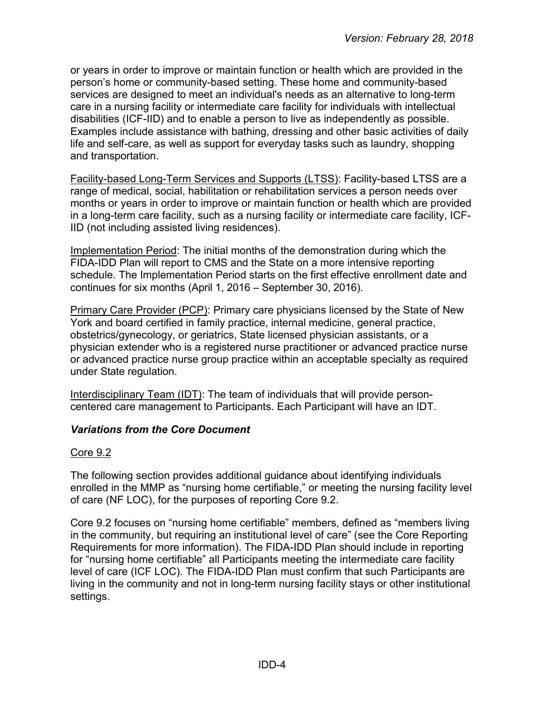or years in order to improve or maintain function or health which are provided in the person's home or community-based setting. These home and community-based services are designed to meet an individual's needs as an alternative to long-term care in a nursing facility or intermediate care facility for individuals with intellectual disabilities (ICF-IID) and to enable a person to live as independently as possible. Examples include assistance with bathing, dressing and other basic activities of daily life and self-care, as well as support for everyday tasks such as laundry, shopping and transportation.

Facility-based Long-Term Services and Supports (LTSS): Facility-based LTSS are a range of medical, social, habilitation or rehabilitation services a person needs over months or years in order to improve or maintain function or health which are provided in a long-term care facility, such as a nursing facility or intermediate care facility, ICF-IID (not including assisted living residences).

Implementation Period: The initial months of the demonstration during which the FIDA-IDD Plan will report to CMS and the State on a more intensive reporting schedule. The Implementation Period starts on the first effective enrollment date and continues for six months (April 1, 2016 – September 30, 2016).

Primary Care Provider (PCP): Primary care physicians licensed by the State of New York and board certified in family practice, internal medicine, general practice, obstetrics/gynecology, or geriatrics, State licensed physician assistants, or a physician extender who is a registered nurse practitioner or advanced practice nurse or advanced practice nurse group practice within an acceptable specialty as required under State regulation.

Interdisciplinary Team (IDT): The team of individuals that will provide personcentered care management to Participants. Each Participant will have an IDT.

## <span id="page-3-0"></span>*Variations from the Core Document*

#### Core 9.2

The following section provides additional guidance about identifying individuals enrolled in the MMP as "nursing home certifiable," or meeting the nursing facility level of care (NF LOC), for the purposes of reporting Core 9.2.

Core 9.2 focuses on "nursing home certifiable" members, defined as "members living in the community, but requiring an institutional level of care" (see the Core Reporting Requirements for more information). The FIDA-IDD Plan should include in reporting for "nursing home certifiable" all Participants meeting the intermediate care facility level of care (ICF LOC). The FIDA-IDD Plan must confirm that such Participants are living in the community and not in long-term nursing facility stays or other institutional settings.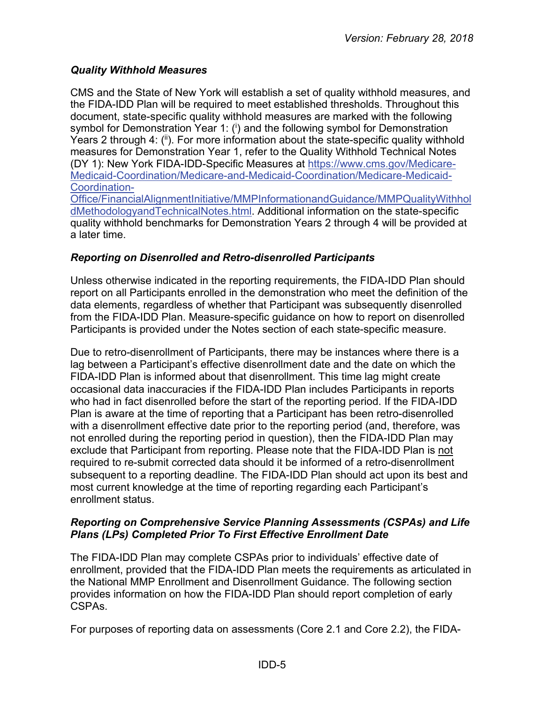## <span id="page-4-0"></span>*Quality Withhold Measures*

CMS and the State of New York will establish a set of quality withhold measures, and the FIDA-IDD Plan will be required to meet established thresholds. Throughout this document, state-specific quality withhold measures are marked with the following symbol for Demonstration Year 1: (<sup>i</sup>) and the following symbol for Demonstration Years 2 through 4:  $(\mathbf{u})$ . For more information about the state-specific quality withhold measures for Demonstration Year 1, refer to the Quality Withhold Technical Notes (DY 1): New York FIDA-IDD-Specific Measures at [https://www.cms.gov/Medicare-](https://www.cms.gov/Medicare-Medicaid-Coordination/Medicare-and-Medicaid-Coordination/Medicare-Medicaid-Coordination-Office/FinancialAlignmentInitiative/MMPInformationandGuidance/MMPQualityWithholdMethodologyandTechnicalNotes.html)[Medicaid-Coordination/Medicare-and-Medicaid-Coordination/Medicare-Medicaid-](https://www.cms.gov/Medicare-Medicaid-Coordination/Medicare-and-Medicaid-Coordination/Medicare-Medicaid-Coordination-Office/FinancialAlignmentInitiative/MMPInformationandGuidance/MMPQualityWithholdMethodologyandTechnicalNotes.html)[Coordination-](https://www.cms.gov/Medicare-Medicaid-Coordination/Medicare-and-Medicaid-Coordination/Medicare-Medicaid-Coordination-Office/FinancialAlignmentInitiative/MMPInformationandGuidance/MMPQualityWithholdMethodologyandTechnicalNotes.html)

[Office/FinancialAlignmentInitiative/MMPInformationandGuidance/MMPQualityWithhol](https://www.cms.gov/Medicare-Medicaid-Coordination/Medicare-and-Medicaid-Coordination/Medicare-Medicaid-Coordination-Office/FinancialAlignmentInitiative/MMPInformationandGuidance/MMPQualityWithholdMethodologyandTechnicalNotes.html) [dMethodologyandTechnicalNotes.html.](https://www.cms.gov/Medicare-Medicaid-Coordination/Medicare-and-Medicaid-Coordination/Medicare-Medicaid-Coordination-Office/FinancialAlignmentInitiative/MMPInformationandGuidance/MMPQualityWithholdMethodologyandTechnicalNotes.html) Additional information on the state-specific quality withhold benchmarks for Demonstration Years 2 through 4 will be provided at a later time.

## <span id="page-4-1"></span>*Reporting on Disenrolled and Retro-disenrolled Participants*

Unless otherwise indicated in the reporting requirements, the FIDA-IDD Plan should report on all Participants enrolled in the demonstration who meet the definition of the data elements, regardless of whether that Participant was subsequently disenrolled from the FIDA-IDD Plan. Measure-specific guidance on how to report on disenrolled Participants is provided under the Notes section of each state-specific measure.

Due to retro-disenrollment of Participants, there may be instances where there is a lag between a Participant's effective disenrollment date and the date on which the FIDA-IDD Plan is informed about that disenrollment. This time lag might create occasional data inaccuracies if the FIDA-IDD Plan includes Participants in reports who had in fact disenrolled before the start of the reporting period. If the FIDA-IDD Plan is aware at the time of reporting that a Participant has been retro-disenrolled with a disenrollment effective date prior to the reporting period (and, therefore, was not enrolled during the reporting period in question), then the FIDA-IDD Plan may exclude that Participant from reporting. Please note that the FIDA-IDD Plan is not required to re-submit corrected data should it be informed of a retro-disenrollment subsequent to a reporting deadline. The FIDA-IDD Plan should act upon its best and most current knowledge at the time of reporting regarding each Participant's enrollment status.

#### <span id="page-4-2"></span>*Reporting on Comprehensive Service Planning Assessments (CSPAs) and Life Plans (LPs) Completed Prior To First Effective Enrollment Date*

The FIDA-IDD Plan may complete CSPAs prior to individuals' effective date of enrollment, provided that the FIDA-IDD Plan meets the requirements as articulated in the National MMP Enrollment and Disenrollment Guidance. The following section provides information on how the FIDA-IDD Plan should report completion of early CSPAs.

For purposes of reporting data on assessments (Core 2.1 and Core 2.2), the FIDA-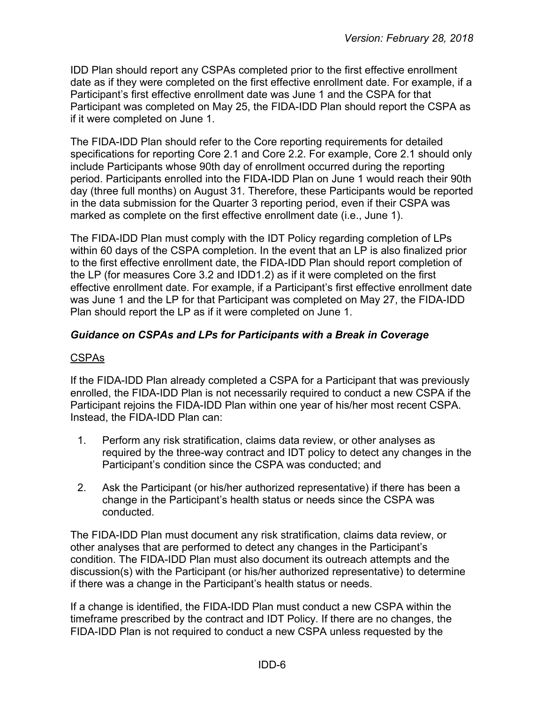IDD Plan should report any CSPAs completed prior to the first effective enrollment date as if they were completed on the first effective enrollment date. For example, if a Participant's first effective enrollment date was June 1 and the CSPA for that Participant was completed on May 25, the FIDA-IDD Plan should report the CSPA as if it were completed on June 1.

The FIDA-IDD Plan should refer to the Core reporting requirements for detailed specifications for reporting Core 2.1 and Core 2.2. For example, Core 2.1 should only include Participants whose 90th day of enrollment occurred during the reporting period. Participants enrolled into the FIDA-IDD Plan on June 1 would reach their 90th day (three full months) on August 31. Therefore, these Participants would be reported in the data submission for the Quarter 3 reporting period, even if their CSPA was marked as complete on the first effective enrollment date (i.e., June 1).

The FIDA-IDD Plan must comply with the IDT Policy regarding completion of LPs within 60 days of the CSPA completion. In the event that an LP is also finalized prior to the first effective enrollment date, the FIDA-IDD Plan should report completion of the LP (for measures Core 3.2 and IDD1.2) as if it were completed on the first effective enrollment date. For example, if a Participant's first effective enrollment date was June 1 and the LP for that Participant was completed on May 27, the FIDA-IDD Plan should report the LP as if it were completed on June 1.

## <span id="page-5-0"></span>*Guidance on CSPAs and LPs for Participants with a Break in Coverage*

## CSPAs

If the FIDA-IDD Plan already completed a CSPA for a Participant that was previously enrolled, the FIDA-IDD Plan is not necessarily required to conduct a new CSPA if the Participant rejoins the FIDA-IDD Plan within one year of his/her most recent CSPA. Instead, the FIDA-IDD Plan can:

- 1. Perform any risk stratification, claims data review, or other analyses as required by the three-way contract and IDT policy to detect any changes in the Participant's condition since the CSPA was conducted; and
- 2. Ask the Participant (or his/her authorized representative) if there has been a change in the Participant's health status or needs since the CSPA was conducted.

The FIDA-IDD Plan must document any risk stratification, claims data review, or other analyses that are performed to detect any changes in the Participant's condition. The FIDA-IDD Plan must also document its outreach attempts and the discussion(s) with the Participant (or his/her authorized representative) to determine if there was a change in the Participant's health status or needs.

If a change is identified, the FIDA-IDD Plan must conduct a new CSPA within the timeframe prescribed by the contract and IDT Policy. If there are no changes, the FIDA-IDD Plan is not required to conduct a new CSPA unless requested by the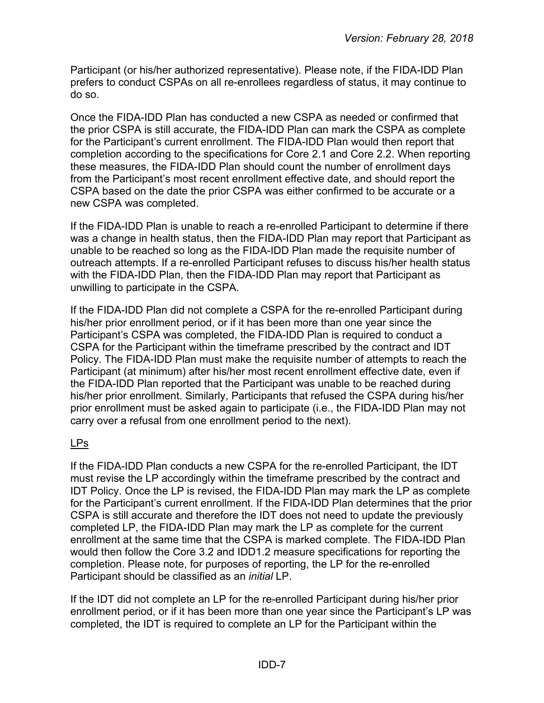Participant (or his/her authorized representative). Please note, if the FIDA-IDD Plan prefers to conduct CSPAs on all re-enrollees regardless of status, it may continue to do so.

Once the FIDA-IDD Plan has conducted a new CSPA as needed or confirmed that the prior CSPA is still accurate, the FIDA-IDD Plan can mark the CSPA as complete for the Participant's current enrollment. The FIDA-IDD Plan would then report that completion according to the specifications for Core 2.1 and Core 2.2. When reporting these measures, the FIDA-IDD Plan should count the number of enrollment days from the Participant's most recent enrollment effective date, and should report the CSPA based on the date the prior CSPA was either confirmed to be accurate or a new CSPA was completed.

If the FIDA-IDD Plan is unable to reach a re-enrolled Participant to determine if there was a change in health status, then the FIDA-IDD Plan may report that Participant as unable to be reached so long as the FIDA-IDD Plan made the requisite number of outreach attempts. If a re-enrolled Participant refuses to discuss his/her health status with the FIDA-IDD Plan, then the FIDA-IDD Plan may report that Participant as unwilling to participate in the CSPA.

If the FIDA-IDD Plan did not complete a CSPA for the re-enrolled Participant during his/her prior enrollment period, or if it has been more than one year since the Participant's CSPA was completed, the FIDA-IDD Plan is required to conduct a CSPA for the Participant within the timeframe prescribed by the contract and IDT Policy. The FIDA-IDD Plan must make the requisite number of attempts to reach the Participant (at minimum) after his/her most recent enrollment effective date, even if the FIDA-IDD Plan reported that the Participant was unable to be reached during his/her prior enrollment. Similarly, Participants that refused the CSPA during his/her prior enrollment must be asked again to participate (i.e., the FIDA-IDD Plan may not carry over a refusal from one enrollment period to the next).

## LPs

If the FIDA-IDD Plan conducts a new CSPA for the re-enrolled Participant, the IDT must revise the LP accordingly within the timeframe prescribed by the contract and IDT Policy. Once the LP is revised, the FIDA-IDD Plan may mark the LP as complete for the Participant's current enrollment. If the FIDA-IDD Plan determines that the prior CSPA is still accurate and therefore the IDT does not need to update the previously completed LP, the FIDA-IDD Plan may mark the LP as complete for the current enrollment at the same time that the CSPA is marked complete. The FIDA-IDD Plan would then follow the Core 3.2 and IDD1.2 measure specifications for reporting the completion. Please note, for purposes of reporting, the LP for the re-enrolled Participant should be classified as an *initial* LP.

If the IDT did not complete an LP for the re-enrolled Participant during his/her prior enrollment period, or if it has been more than one year since the Participant's LP was completed, the IDT is required to complete an LP for the Participant within the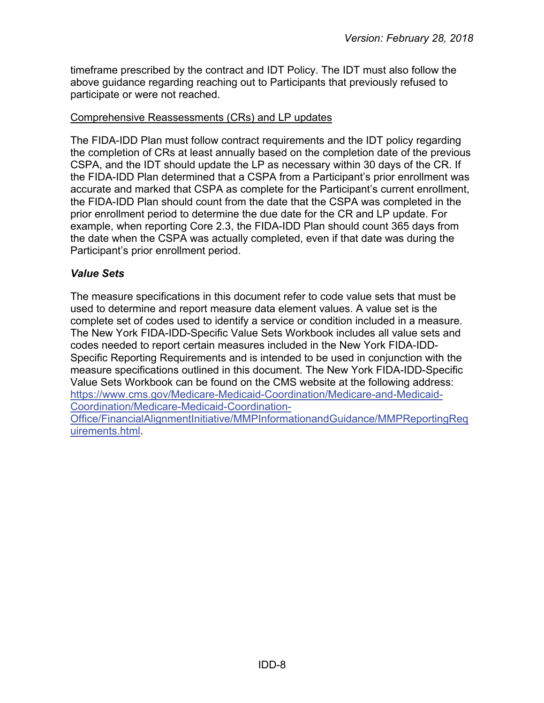timeframe prescribed by the contract and IDT Policy. The IDT must also follow the above guidance regarding reaching out to Participants that previously refused to participate or were not reached.

#### Comprehensive Reassessments (CRs) and LP updates

The FIDA-IDD Plan must follow contract requirements and the IDT policy regarding the completion of CRs at least annually based on the completion date of the previous CSPA, and the IDT should update the LP as necessary within 30 days of the CR. If the FIDA-IDD Plan determined that a CSPA from a Participant's prior enrollment was accurate and marked that CSPA as complete for the Participant's current enrollment, the FIDA-IDD Plan should count from the date that the CSPA was completed in the prior enrollment period to determine the due date for the CR and LP update. For example, when reporting Core 2.3, the FIDA-IDD Plan should count 365 days from the date when the CSPA was actually completed, even if that date was during the Participant's prior enrollment period.

#### <span id="page-7-0"></span>*Value Sets*

The measure specifications in this document refer to code value sets that must be used to determine and report measure data element values. A value set is the complete set of codes used to identify a service or condition included in a measure. The New York FIDA-IDD-Specific Value Sets Workbook includes all value sets and codes needed to report certain measures included in the New York FIDA-IDD-Specific Reporting Requirements and is intended to be used in conjunction with the measure specifications outlined in this document. The New York FIDA-IDD-Specific Value Sets Workbook can be found on the CMS website at the following address: [https://www.cms.gov/Medicare-Medicaid-Coordination/Medicare-and-Medicaid-](https://www.cms.gov/Medicare-Medicaid-Coordination/Medicare-and-Medicaid-Coordination/Medicare-Medicaid-Coordination-Office/FinancialAlignmentInitiative/MMPInformationandGuidance/MMPReportingRequirements.html)[Coordination/Medicare-Medicaid-Coordination-](https://www.cms.gov/Medicare-Medicaid-Coordination/Medicare-and-Medicaid-Coordination/Medicare-Medicaid-Coordination-Office/FinancialAlignmentInitiative/MMPInformationandGuidance/MMPReportingRequirements.html)

[Office/FinancialAlignmentInitiative/MMPInformationandGuidance/MMPReportingReq](https://www.cms.gov/Medicare-Medicaid-Coordination/Medicare-and-Medicaid-Coordination/Medicare-Medicaid-Coordination-Office/FinancialAlignmentInitiative/MMPInformationandGuidance/MMPReportingRequirements.html) [uirements.html.](https://www.cms.gov/Medicare-Medicaid-Coordination/Medicare-and-Medicaid-Coordination/Medicare-Medicaid-Coordination-Office/FinancialAlignmentInitiative/MMPInformationandGuidance/MMPReportingRequirements.html)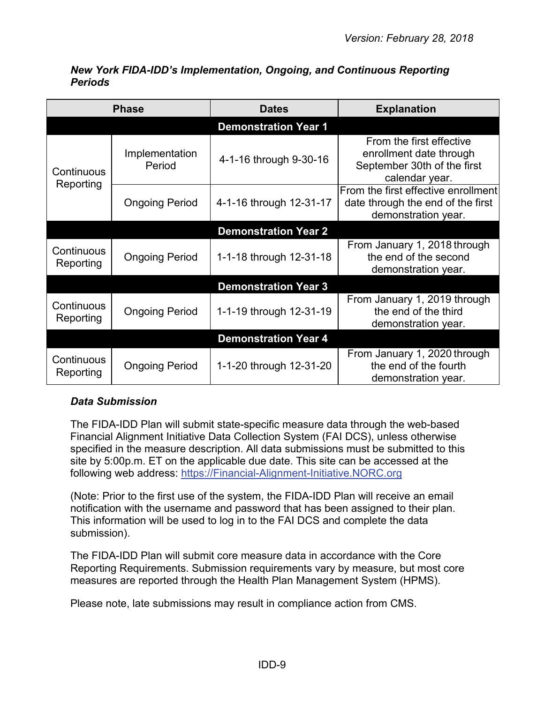<span id="page-8-0"></span>

|                         | <b>Phase</b>                | <b>Dates</b>                | <b>Explanation</b>                                                                                   |  |
|-------------------------|-----------------------------|-----------------------------|------------------------------------------------------------------------------------------------------|--|
|                         |                             | <b>Demonstration Year 1</b> |                                                                                                      |  |
| Continuous              | Implementation<br>Period    | 4-1-16 through 9-30-16      | From the first effective<br>enrollment date through<br>September 30th of the first<br>calendar year. |  |
| Reporting               | <b>Ongoing Period</b>       | 4-1-16 through 12-31-17     | From the first effective enrollment<br>date through the end of the first<br>demonstration year.      |  |
|                         |                             | <b>Demonstration Year 2</b> |                                                                                                      |  |
| Continuous<br>Reporting | <b>Ongoing Period</b>       | 1-1-18 through 12-31-18     | From January 1, 2018 through<br>the end of the second<br>demonstration year.                         |  |
|                         |                             | <b>Demonstration Year 3</b> |                                                                                                      |  |
| Continuous<br>Reporting | <b>Ongoing Period</b>       | 1-1-19 through 12-31-19     | From January 1, 2019 through<br>the end of the third<br>demonstration year.                          |  |
|                         | <b>Demonstration Year 4</b> |                             |                                                                                                      |  |
| Continuous<br>Reporting | <b>Ongoing Period</b>       | 1-1-20 through 12-31-20     | From January 1, 2020 through<br>the end of the fourth<br>demonstration year.                         |  |

#### *New York FIDA-IDD's Implementation, Ongoing, and Continuous Reporting Periods*

## <span id="page-8-1"></span>*Data Submission*

The FIDA-IDD Plan will submit state-specific measure data through the web-based Financial Alignment Initiative Data Collection System (FAI DCS), unless otherwise specified in the measure description. All data submissions must be submitted to this site by 5:00p.m. ET on the applicable due date. This site can be accessed at the following web address: [https://Financial-Alignment-Initiative.NORC.org](https://financial-alignment-initiative.norc.org/)

(Note: Prior to the first use of the system, the FIDA-IDD Plan will receive an email notification with the username and password that has been assigned to their plan. This information will be used to log in to the FAI DCS and complete the data submission).

The FIDA-IDD Plan will submit core measure data in accordance with the Core Reporting Requirements. Submission requirements vary by measure, but most core measures are reported through the Health Plan Management System (HPMS).

Please note, late submissions may result in compliance action from CMS.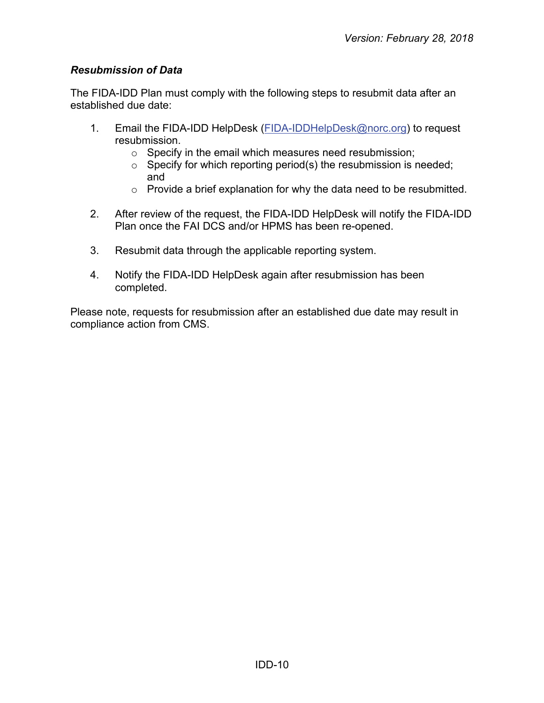# <span id="page-9-0"></span>*Resubmission of Data*

The FIDA-IDD Plan must comply with the following steps to resubmit data after an established due date:

- 1. Email the FIDA-IDD HelpDesk [\(FIDA-IDDHelpDesk@norc.org\)](mailto:FIDA-IDDHelpDesk@norc.org) to request resubmission.
	- o Specify in the email which measures need resubmission;
	- $\circ$  Specify for which reporting period(s) the resubmission is needed; and
	- $\circ$  Provide a brief explanation for why the data need to be resubmitted.
- 2. After review of the request, the FIDA-IDD HelpDesk will notify the FIDA-IDD Plan once the FAI DCS and/or HPMS has been re-opened.
- 3. Resubmit data through the applicable reporting system.
- 4. Notify the FIDA-IDD HelpDesk again after resubmission has been completed.

Please note, requests for resubmission after an established due date may result in compliance action from CMS.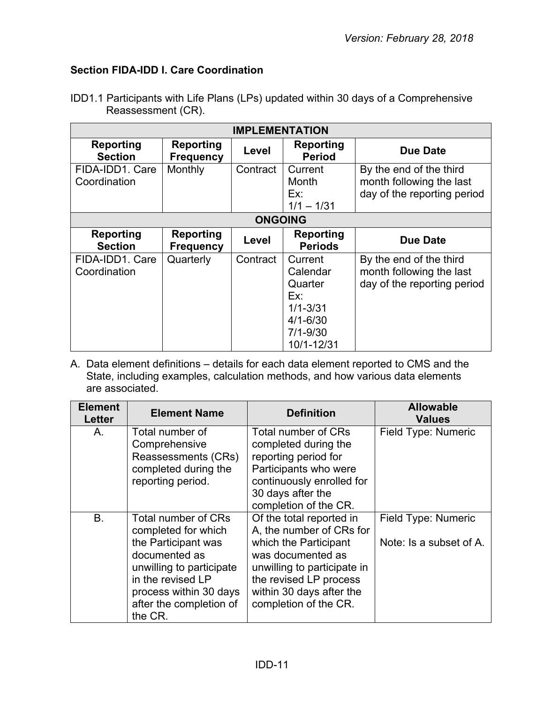# <span id="page-10-0"></span>**Section FIDA-IDD I. Care Coordination**

|                    | IDD1.1 Participants with Life Plans (LPs) updated within 30 days of a Comprehensive |
|--------------------|-------------------------------------------------------------------------------------|
| Reassessment (CR). |                                                                                     |

| <b>IMPLEMENTATION</b>              |                                      |                |                                                                                                     |                                                                                    |
|------------------------------------|--------------------------------------|----------------|-----------------------------------------------------------------------------------------------------|------------------------------------------------------------------------------------|
| Reporting<br><b>Section</b>        | <b>Reporting</b><br><b>Frequency</b> | Level          | <b>Reporting</b><br><b>Period</b>                                                                   | <b>Due Date</b>                                                                    |
| FIDA-IDD1. Care<br>Coordination    | Monthly                              | Contract       | Current<br>Month                                                                                    | By the end of the third<br>month following the last                                |
|                                    |                                      |                | Ex:<br>$1/1 - 1/31$                                                                                 | day of the reporting period                                                        |
|                                    |                                      | <b>ONGOING</b> |                                                                                                     |                                                                                    |
| <b>Reporting</b><br><b>Section</b> | <b>Reporting</b><br><b>Frequency</b> | Level          | Reporting<br><b>Periods</b>                                                                         | Due Date                                                                           |
| FIDA-IDD1. Care<br>Coordination    | Quarterly                            | Contract       | Current<br>Calendar<br>Quarter<br>Ex:<br>$1/1 - 3/31$<br>$4/1 - 6/30$<br>$7/1 - 9/30$<br>10/1-12/31 | By the end of the third<br>month following the last<br>day of the reporting period |

| <b>Element</b><br><b>Letter</b> | <b>Element Name</b>                                                                                                                                                                                 | <b>Definition</b>                                                                                                                                                                                                | <b>Allowable</b><br><b>Values</b>              |
|---------------------------------|-----------------------------------------------------------------------------------------------------------------------------------------------------------------------------------------------------|------------------------------------------------------------------------------------------------------------------------------------------------------------------------------------------------------------------|------------------------------------------------|
| А.                              | Total number of<br>Comprehensive<br>Reassessments (CRs)<br>completed during the<br>reporting period.                                                                                                | Total number of CRs<br>completed during the<br>reporting period for<br>Participants who were<br>continuously enrolled for<br>30 days after the<br>completion of the CR.                                          | Field Type: Numeric                            |
| B.                              | Total number of CRs<br>completed for which<br>the Participant was<br>documented as<br>unwilling to participate<br>in the revised LP<br>process within 30 days<br>after the completion of<br>the CR. | Of the total reported in<br>A, the number of CRs for<br>which the Participant<br>was documented as<br>unwilling to participate in<br>the revised LP process<br>within 30 days after the<br>completion of the CR. | Field Type: Numeric<br>Note: Is a subset of A. |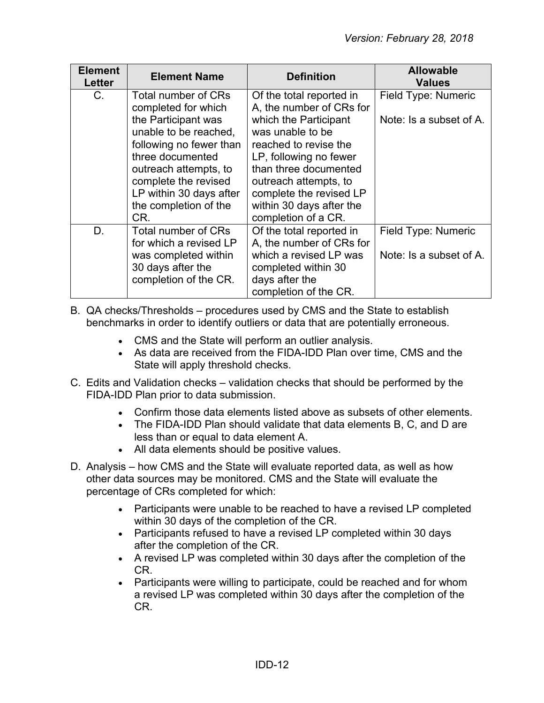| <b>Element</b><br>Letter | <b>Element Name</b>     | <b>Definition</b>        | <b>Allowable</b><br><b>Values</b> |
|--------------------------|-------------------------|--------------------------|-----------------------------------|
| C.                       | Total number of CRs     | Of the total reported in | Field Type: Numeric               |
|                          | completed for which     | A, the number of CRs for |                                   |
|                          | the Participant was     | which the Participant    | Note: Is a subset of A.           |
|                          | unable to be reached,   | was unable to be         |                                   |
|                          | following no fewer than | reached to revise the    |                                   |
|                          | three documented        | LP, following no fewer   |                                   |
|                          | outreach attempts, to   | than three documented    |                                   |
|                          | complete the revised    | outreach attempts, to    |                                   |
|                          | LP within 30 days after | complete the revised LP  |                                   |
|                          | the completion of the   | within 30 days after the |                                   |
|                          | CR.                     | completion of a CR.      |                                   |
| D.                       | Total number of CRs     | Of the total reported in | Field Type: Numeric               |
|                          | for which a revised LP  | A, the number of CRs for |                                   |
|                          | was completed within    | which a revised LP was   | Note: Is a subset of A.           |
|                          | 30 days after the       | completed within 30      |                                   |
|                          | completion of the CR.   | days after the           |                                   |
|                          |                         | completion of the CR.    |                                   |

- B. QA checks/Thresholds procedures used by CMS and the State to establish benchmarks in order to identify outliers or data that are potentially erroneous.
	- CMS and the State will perform an outlier analysis.
	- As data are received from the FIDA-IDD Plan over time, CMS and the State will apply threshold checks.
- C. Edits and Validation checks validation checks that should be performed by the FIDA-IDD Plan prior to data submission.
	- Confirm those data elements listed above as subsets of other elements.
	- The FIDA-IDD Plan should validate that data elements B, C, and D are less than or equal to data element A.
	- All data elements should be positive values.
- D. Analysis how CMS and the State will evaluate reported data, as well as how other data sources may be monitored. CMS and the State will evaluate the percentage of CRs completed for which:
	- Participants were unable to be reached to have a revised LP completed within 30 days of the completion of the CR.
	- Participants refused to have a revised LP completed within 30 days after the completion of the CR.
	- A revised LP was completed within 30 days after the completion of the CR.
	- Participants were willing to participate, could be reached and for whom a revised LP was completed within 30 days after the completion of the CR.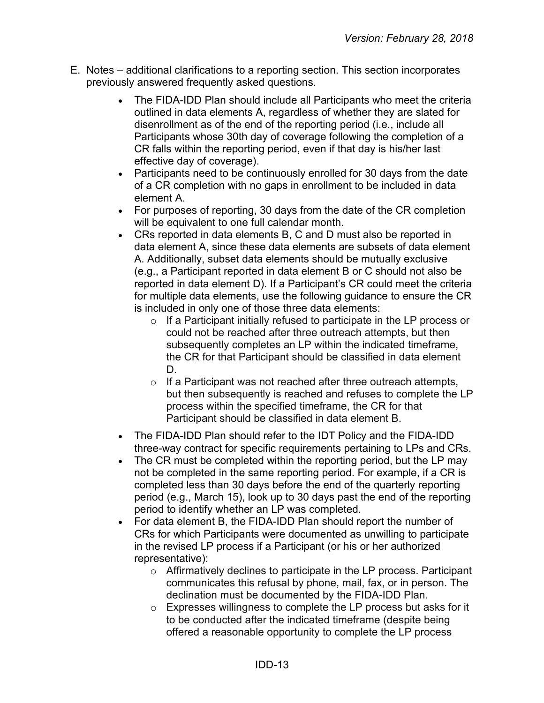- E. Notes additional clarifications to a reporting section. This section incorporates previously answered frequently asked questions.
	- The FIDA-IDD Plan should include all Participants who meet the criteria outlined in data elements A, regardless of whether they are slated for disenrollment as of the end of the reporting period (i.e., include all Participants whose 30th day of coverage following the completion of a CR falls within the reporting period, even if that day is his/her last effective day of coverage).
	- Participants need to be continuously enrolled for 30 days from the date of a CR completion with no gaps in enrollment to be included in data element A.
	- For purposes of reporting, 30 days from the date of the CR completion will be equivalent to one full calendar month.
	- CRs reported in data elements B, C and D must also be reported in data element A, since these data elements are subsets of data element A. Additionally, subset data elements should be mutually exclusive (e.g., a Participant reported in data element B or C should not also be reported in data element D). If a Participant's CR could meet the criteria for multiple data elements, use the following guidance to ensure the CR is included in only one of those three data elements:
		- o If a Participant initially refused to participate in the LP process or could not be reached after three outreach attempts, but then subsequently completes an LP within the indicated timeframe, the CR for that Participant should be classified in data element D.
		- $\circ$  If a Participant was not reached after three outreach attempts, but then subsequently is reached and refuses to complete the LP process within the specified timeframe, the CR for that Participant should be classified in data element B.
	- The FIDA-IDD Plan should refer to the IDT Policy and the FIDA-IDD three-way contract for specific requirements pertaining to LPs and CRs.
	- The CR must be completed within the reporting period, but the LP may not be completed in the same reporting period. For example, if a CR is completed less than 30 days before the end of the quarterly reporting period (e.g., March 15), look up to 30 days past the end of the reporting period to identify whether an LP was completed.
	- For data element B, the FIDA-IDD Plan should report the number of CRs for which Participants were documented as unwilling to participate in the revised LP process if a Participant (or his or her authorized representative):
		- o Affirmatively declines to participate in the LP process. Participant communicates this refusal by phone, mail, fax, or in person. The declination must be documented by the FIDA-IDD Plan.
		- o Expresses willingness to complete the LP process but asks for it to be conducted after the indicated timeframe (despite being offered a reasonable opportunity to complete the LP process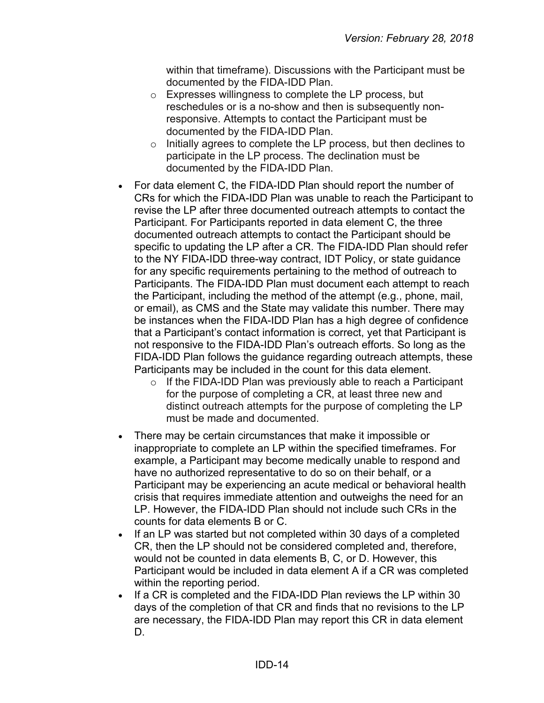within that timeframe). Discussions with the Participant must be documented by the FIDA-IDD Plan.

- o Expresses willingness to complete the LP process, but reschedules or is a no-show and then is subsequently nonresponsive. Attempts to contact the Participant must be documented by the FIDA-IDD Plan.
- $\circ$  Initially agrees to complete the LP process, but then declines to participate in the LP process. The declination must be documented by the FIDA-IDD Plan.
- For data element C, the FIDA-IDD Plan should report the number of CRs for which the FIDA-IDD Plan was unable to reach the Participant to revise the LP after three documented outreach attempts to contact the Participant. For Participants reported in data element C, the three documented outreach attempts to contact the Participant should be specific to updating the LP after a CR. The FIDA-IDD Plan should refer to the NY FIDA-IDD three-way contract, IDT Policy, or state guidance for any specific requirements pertaining to the method of outreach to Participants. The FIDA-IDD Plan must document each attempt to reach the Participant, including the method of the attempt (e.g., phone, mail, or email), as CMS and the State may validate this number. There may be instances when the FIDA-IDD Plan has a high degree of confidence that a Participant's contact information is correct, yet that Participant is not responsive to the FIDA-IDD Plan's outreach efforts. So long as the FIDA-IDD Plan follows the guidance regarding outreach attempts, these Participants may be included in the count for this data element.
	- $\circ$  If the FIDA-IDD Plan was previously able to reach a Participant for the purpose of completing a CR, at least three new and distinct outreach attempts for the purpose of completing the LP must be made and documented.
- There may be certain circumstances that make it impossible or inappropriate to complete an LP within the specified timeframes. For example, a Participant may become medically unable to respond and have no authorized representative to do so on their behalf, or a Participant may be experiencing an acute medical or behavioral health crisis that requires immediate attention and outweighs the need for an LP. However, the FIDA-IDD Plan should not include such CRs in the counts for data elements B or C.
- If an LP was started but not completed within 30 days of a completed CR, then the LP should not be considered completed and, therefore, would not be counted in data elements B, C, or D. However, this Participant would be included in data element A if a CR was completed within the reporting period.
- If a CR is completed and the FIDA-IDD Plan reviews the LP within 30 days of the completion of that CR and finds that no revisions to the LP are necessary, the FIDA-IDD Plan may report this CR in data element D.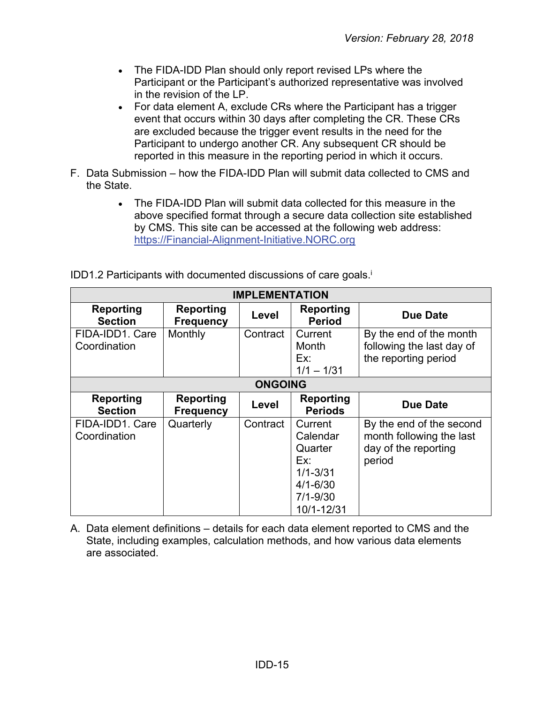- The FIDA-IDD Plan should only report revised LPs where the Participant or the Participant's authorized representative was involved in the revision of the LP.
- For data element A, exclude CRs where the Participant has a trigger event that occurs within 30 days after completing the CR. These CRs are excluded because the trigger event results in the need for the Participant to undergo another CR. Any subsequent CR should be reported in this measure in the reporting period in which it occurs.
- F. Data Submission how the FIDA-IDD Plan will submit data collected to CMS and the State.
	- The FIDA-IDD Plan will submit data collected for this measure in the above specified format through a secure data collection site established by CMS. This site can be accessed at the following web address: [https://Financial-Alignment-Initiative.NORC.org](https://financial-alignment-initiative.norc.org/)

| <b>IMPLEMENTATION</b>              |                                      |                |                                                                                                     |                                                                                        |
|------------------------------------|--------------------------------------|----------------|-----------------------------------------------------------------------------------------------------|----------------------------------------------------------------------------------------|
| <b>Reporting</b><br><b>Section</b> | <b>Reporting</b><br><b>Frequency</b> | Level          | <b>Reporting</b><br><b>Period</b>                                                                   | Due Date                                                                               |
| FIDA-IDD1. Care<br>Coordination    | Monthly                              | Contract       | Current<br>Month<br>Ex:<br>$1/1 - 1/31$                                                             | By the end of the month<br>following the last day of<br>the reporting period           |
|                                    |                                      | <b>ONGOING</b> |                                                                                                     |                                                                                        |
| <b>Reporting</b><br><b>Section</b> | <b>Reporting</b><br><b>Frequency</b> | Level          | <b>Reporting</b><br><b>Periods</b>                                                                  | <b>Due Date</b>                                                                        |
| FIDA-IDD1. Care<br>Coordination    | Quarterly                            | Contract       | Current<br>Calendar<br>Quarter<br>Ex:<br>$1/1 - 3/31$<br>$4/1 - 6/30$<br>$7/1 - 9/30$<br>10/1-12/31 | By the end of the second<br>month following the last<br>day of the reporting<br>period |

IDD1.2 Participants with documented discussions of care goals.<sup>i</sup>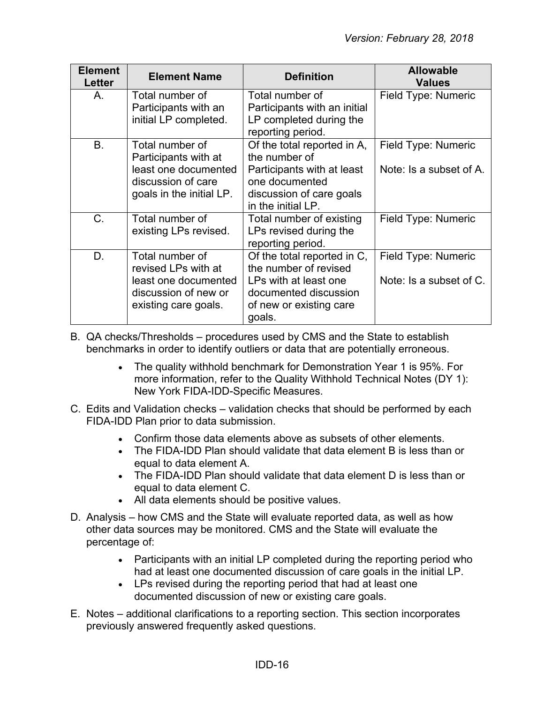| <b>Element</b><br><b>Letter</b> | <b>Element Name</b>                                                                                               | <b>Definition</b>                                                                                                                              | <b>Allowable</b><br><b>Values</b>              |
|---------------------------------|-------------------------------------------------------------------------------------------------------------------|------------------------------------------------------------------------------------------------------------------------------------------------|------------------------------------------------|
| Α.                              | Total number of<br>Participants with an<br>initial LP completed.                                                  | Total number of<br>Participants with an initial<br>LP completed during the<br>reporting period.                                                | Field Type: Numeric                            |
| Β.                              | Total number of<br>Participants with at<br>least one documented<br>discussion of care<br>goals in the initial LP. | Of the total reported in A,<br>the number of<br>Participants with at least<br>one documented<br>discussion of care goals<br>in the initial LP. | Field Type: Numeric<br>Note: Is a subset of A. |
| $C_{\cdot}$                     | Total number of<br>existing LPs revised.                                                                          | Total number of existing<br>LPs revised during the<br>reporting period.                                                                        | Field Type: Numeric                            |
| D.                              | Total number of<br>revised LPs with at<br>least one documented<br>discussion of new or<br>existing care goals.    | Of the total reported in C,<br>the number of revised<br>LPs with at least one<br>documented discussion<br>of new or existing care<br>goals.    | Field Type: Numeric<br>Note: Is a subset of C. |

- B. QA checks/Thresholds procedures used by CMS and the State to establish benchmarks in order to identify outliers or data that are potentially erroneous.
	- The quality withhold benchmark for Demonstration Year 1 is 95%. For more information, refer to the Quality Withhold Technical Notes (DY 1): New York FIDA-IDD-Specific Measures.
- C. Edits and Validation checks validation checks that should be performed by each FIDA-IDD Plan prior to data submission.
	- Confirm those data elements above as subsets of other elements.
	- The FIDA-IDD Plan should validate that data element B is less than or equal to data element A.
	- The FIDA-IDD Plan should validate that data element D is less than or equal to data element C.
	- All data elements should be positive values.
- D. Analysis how CMS and the State will evaluate reported data, as well as how other data sources may be monitored. CMS and the State will evaluate the percentage of:
	- Participants with an initial LP completed during the reporting period who had at least one documented discussion of care goals in the initial LP.
	- LPs revised during the reporting period that had at least one documented discussion of new or existing care goals.
- E. Notes additional clarifications to a reporting section. This section incorporates previously answered frequently asked questions.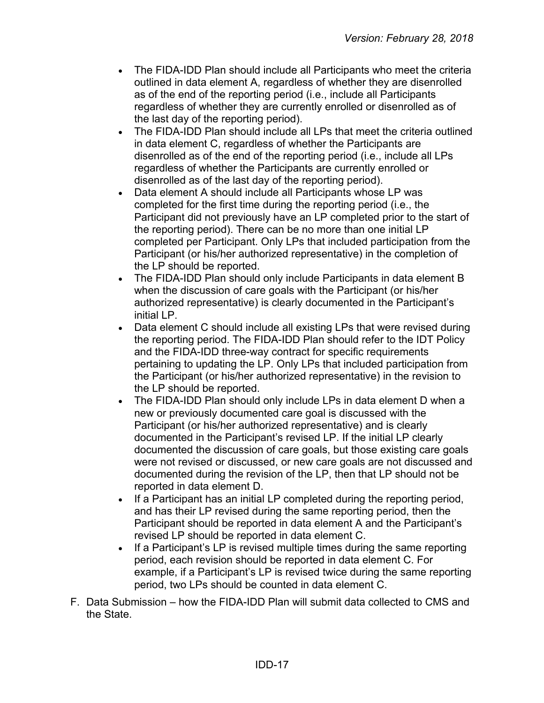- The FIDA-IDD Plan should include all Participants who meet the criteria outlined in data element A, regardless of whether they are disenrolled as of the end of the reporting period (i.e., include all Participants regardless of whether they are currently enrolled or disenrolled as of the last day of the reporting period).
- The FIDA-IDD Plan should include all LPs that meet the criteria outlined in data element C, regardless of whether the Participants are disenrolled as of the end of the reporting period (i.e., include all LPs regardless of whether the Participants are currently enrolled or disenrolled as of the last day of the reporting period).
- Data element A should include all Participants whose LP was completed for the first time during the reporting period (i.e., the Participant did not previously have an LP completed prior to the start of the reporting period). There can be no more than one initial LP completed per Participant. Only LPs that included participation from the Participant (or his/her authorized representative) in the completion of the LP should be reported.
- The FIDA-IDD Plan should only include Participants in data element B when the discussion of care goals with the Participant (or his/her authorized representative) is clearly documented in the Participant's initial LP.
- Data element C should include all existing LPs that were revised during the reporting period. The FIDA-IDD Plan should refer to the IDT Policy and the FIDA-IDD three-way contract for specific requirements pertaining to updating the LP. Only LPs that included participation from the Participant (or his/her authorized representative) in the revision to the LP should be reported.
- The FIDA-IDD Plan should only include LPs in data element D when a new or previously documented care goal is discussed with the Participant (or his/her authorized representative) and is clearly documented in the Participant's revised LP. If the initial LP clearly documented the discussion of care goals, but those existing care goals were not revised or discussed, or new care goals are not discussed and documented during the revision of the LP, then that LP should not be reported in data element D.
- If a Participant has an initial LP completed during the reporting period, and has their LP revised during the same reporting period, then the Participant should be reported in data element A and the Participant's revised LP should be reported in data element C.
- If a Participant's LP is revised multiple times during the same reporting period, each revision should be reported in data element C. For example, if a Participant's LP is revised twice during the same reporting period, two LPs should be counted in data element C.
- F. Data Submission how the FIDA-IDD Plan will submit data collected to CMS and the State.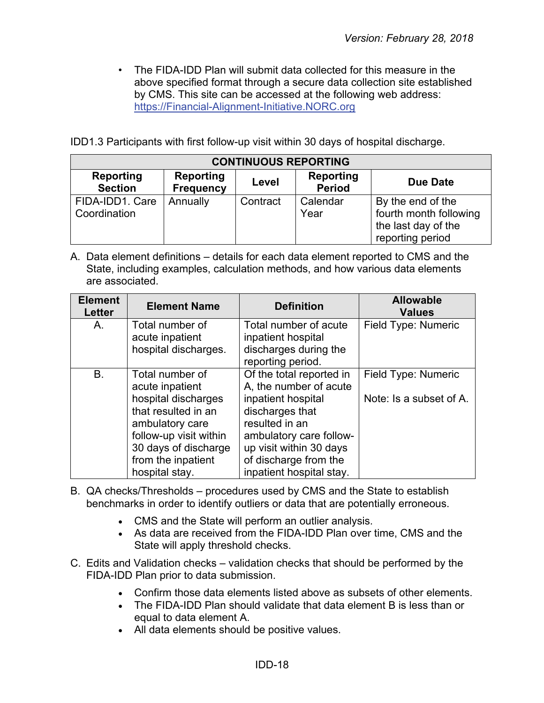• The FIDA-IDD Plan will submit data collected for this measure in the above specified format through a secure data collection site established by CMS. This site can be accessed at the following web address: [https://Financial-Alignment-Initiative.NORC.org](https://financial-alignment-initiative.norc.org/)

IDD1.3 Participants with first follow-up visit within 30 days of hospital discharge.

| <b>CONTINUOUS REPORTING</b>     |                                      |          |                            |                                                                                        |
|---------------------------------|--------------------------------------|----------|----------------------------|----------------------------------------------------------------------------------------|
| Reporting<br><b>Section</b>     | <b>Reporting</b><br><b>Frequency</b> | Level    | Reporting<br><b>Period</b> | <b>Due Date</b>                                                                        |
| FIDA-IDD1. Care<br>Coordination | Annually                             | Contract | Calendar<br>Year           | By the end of the<br>fourth month following<br>the last day of the<br>reporting period |

| <b>Element</b><br><b>Letter</b> | <b>Element Name</b>                                                                                                                                                                           | <b>Definition</b>                                                                                                                                                                                                        | <b>Allowable</b><br><b>Values</b>              |
|---------------------------------|-----------------------------------------------------------------------------------------------------------------------------------------------------------------------------------------------|--------------------------------------------------------------------------------------------------------------------------------------------------------------------------------------------------------------------------|------------------------------------------------|
| A.                              | Total number of<br>acute inpatient<br>hospital discharges.                                                                                                                                    | Total number of acute<br>inpatient hospital<br>discharges during the<br>reporting period.                                                                                                                                | Field Type: Numeric                            |
| <b>B.</b>                       | Total number of<br>acute inpatient<br>hospital discharges<br>that resulted in an<br>ambulatory care<br>follow-up visit within<br>30 days of discharge<br>from the inpatient<br>hospital stay. | Of the total reported in<br>A, the number of acute<br>inpatient hospital<br>discharges that<br>resulted in an<br>ambulatory care follow-<br>up visit within 30 days<br>of discharge from the<br>inpatient hospital stay. | Field Type: Numeric<br>Note: Is a subset of A. |

- B. QA checks/Thresholds procedures used by CMS and the State to establish benchmarks in order to identify outliers or data that are potentially erroneous.
	- CMS and the State will perform an outlier analysis.
	- As data are received from the FIDA-IDD Plan over time, CMS and the State will apply threshold checks.
- C. Edits and Validation checks validation checks that should be performed by the FIDA-IDD Plan prior to data submission.
	- Confirm those data elements listed above as subsets of other elements.
	- The FIDA-IDD Plan should validate that data element B is less than or equal to data element A.
	- All data elements should be positive values.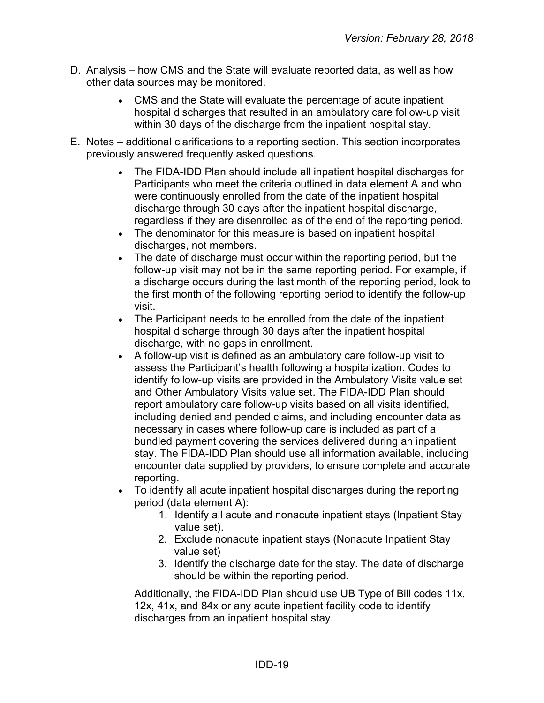- D. Analysis how CMS and the State will evaluate reported data, as well as how other data sources may be monitored.
	- CMS and the State will evaluate the percentage of acute inpatient hospital discharges that resulted in an ambulatory care follow-up visit within 30 days of the discharge from the inpatient hospital stay.
- E. Notes additional clarifications to a reporting section. This section incorporates previously answered frequently asked questions.
	- The FIDA-IDD Plan should include all inpatient hospital discharges for Participants who meet the criteria outlined in data element A and who were continuously enrolled from the date of the inpatient hospital discharge through 30 days after the inpatient hospital discharge, regardless if they are disenrolled as of the end of the reporting period.
	- The denominator for this measure is based on inpatient hospital discharges, not members.
	- The date of discharge must occur within the reporting period, but the follow-up visit may not be in the same reporting period. For example, if a discharge occurs during the last month of the reporting period, look to the first month of the following reporting period to identify the follow-up visit.
	- The Participant needs to be enrolled from the date of the inpatient hospital discharge through 30 days after the inpatient hospital discharge, with no gaps in enrollment.
	- A follow-up visit is defined as an ambulatory care follow-up visit to assess the Participant's health following a hospitalization. Codes to identify follow-up visits are provided in the Ambulatory Visits value set and Other Ambulatory Visits value set. The FIDA-IDD Plan should report ambulatory care follow-up visits based on all visits identified, including denied and pended claims, and including encounter data as necessary in cases where follow-up care is included as part of a bundled payment covering the services delivered during an inpatient stay. The FIDA-IDD Plan should use all information available, including encounter data supplied by providers, to ensure complete and accurate reporting.
	- To identify all acute inpatient hospital discharges during the reporting period (data element A):
		- 1. Identify all acute and nonacute inpatient stays (Inpatient Stay value set).
		- 2. Exclude nonacute inpatient stays (Nonacute Inpatient Stay value set)
		- 3. Identify the discharge date for the stay. The date of discharge should be within the reporting period.

Additionally, the FIDA-IDD Plan should use UB Type of Bill codes 11x, 12x, 41x, and 84x or any acute inpatient facility code to identify discharges from an inpatient hospital stay.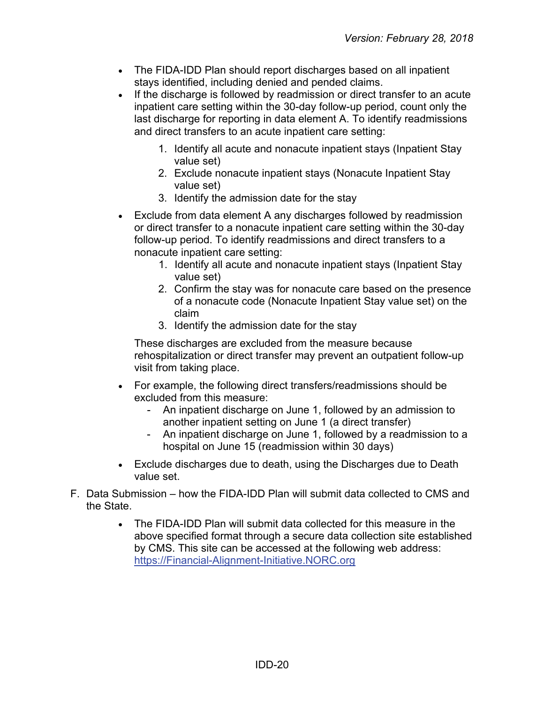- The FIDA-IDD Plan should report discharges based on all inpatient stays identified, including denied and pended claims.
- If the discharge is followed by readmission or direct transfer to an acute inpatient care setting within the 30-day follow-up period, count only the last discharge for reporting in data element A. To identify readmissions and direct transfers to an acute inpatient care setting:
	- 1. Identify all acute and nonacute inpatient stays (Inpatient Stay value set)
	- 2. Exclude nonacute inpatient stays (Nonacute Inpatient Stay value set)
	- 3. Identify the admission date for the stay
- Exclude from data element A any discharges followed by readmission or direct transfer to a nonacute inpatient care setting within the 30-day follow-up period. To identify readmissions and direct transfers to a nonacute inpatient care setting:
	- 1. Identify all acute and nonacute inpatient stays (Inpatient Stay value set)
	- 2. Confirm the stay was for nonacute care based on the presence of a nonacute code (Nonacute Inpatient Stay value set) on the claim
	- 3. Identify the admission date for the stay

These discharges are excluded from the measure because rehospitalization or direct transfer may prevent an outpatient follow-up visit from taking place.

- For example, the following direct transfers/readmissions should be excluded from this measure:
	- An inpatient discharge on June 1, followed by an admission to another inpatient setting on June 1 (a direct transfer)
	- An inpatient discharge on June 1, followed by a readmission to a hospital on June 15 (readmission within 30 days)
- Exclude discharges due to death, using the Discharges due to Death value set.
- F. Data Submission how the FIDA-IDD Plan will submit data collected to CMS and the State.
	- The FIDA-IDD Plan will submit data collected for this measure in the above specified format through a secure data collection site established by CMS. This site can be accessed at the following web address: [https://Financial-Alignment-Initiative.NORC.org](https://financial-alignment-initiative.norc.org/)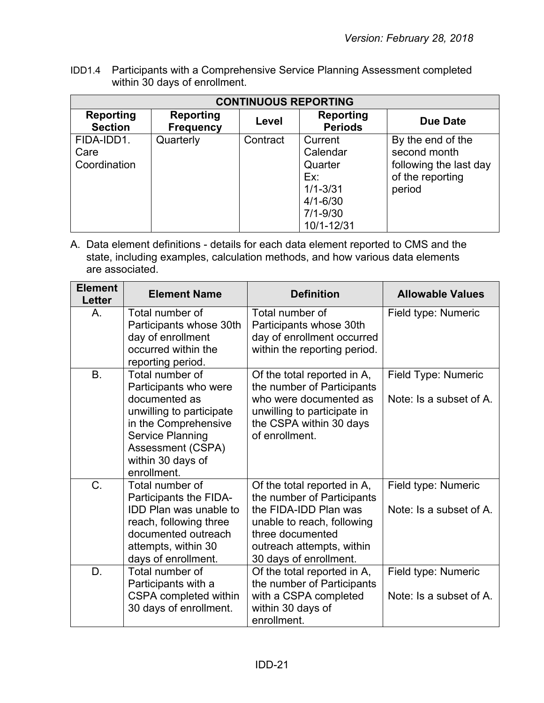IDD1.4 Participants with a Comprehensive Service Planning Assessment completed within 30 days of enrollment.

| <b>CONTINUOUS REPORTING</b>        |                               |          |                                                                                                     |                                                                                           |
|------------------------------------|-------------------------------|----------|-----------------------------------------------------------------------------------------------------|-------------------------------------------------------------------------------------------|
| Reporting<br><b>Section</b>        | Reporting<br><b>Frequency</b> | Level    | Reporting<br><b>Periods</b>                                                                         | Due Date                                                                                  |
| FIDA-IDD1.<br>Care<br>Coordination | Quarterly                     | Contract | Current<br>Calendar<br>Quarter<br>Ex:<br>$1/1 - 3/31$<br>$4/1 - 6/30$<br>$7/1 - 9/30$<br>10/1-12/31 | By the end of the<br>second month<br>following the last day<br>of the reporting<br>period |

| <b>Element</b><br>Letter | <b>Element Name</b>                                                                                                                                                                               | <b>Definition</b>                                                                                                                                                                           | <b>Allowable Values</b>                        |
|--------------------------|---------------------------------------------------------------------------------------------------------------------------------------------------------------------------------------------------|---------------------------------------------------------------------------------------------------------------------------------------------------------------------------------------------|------------------------------------------------|
| A.                       | Total number of<br>Participants whose 30th<br>day of enrollment<br>occurred within the<br>reporting period.                                                                                       | Total number of<br>Participants whose 30th<br>day of enrollment occurred<br>within the reporting period.                                                                                    | Field type: Numeric                            |
| <b>B.</b>                | Total number of<br>Participants who were<br>documented as<br>unwilling to participate<br>in the Comprehensive<br><b>Service Planning</b><br>Assessment (CSPA)<br>within 30 days of<br>enrollment. | Of the total reported in A,<br>the number of Participants<br>who were documented as<br>unwilling to participate in<br>the CSPA within 30 days<br>of enrollment.                             | Field Type: Numeric<br>Note: Is a subset of A. |
| $\mathsf{C}$ .           | Total number of<br>Participants the FIDA-<br><b>IDD Plan was unable to</b><br>reach, following three<br>documented outreach<br>attempts, within 30<br>days of enrollment.                         | Of the total reported in A,<br>the number of Participants<br>the FIDA-IDD Plan was<br>unable to reach, following<br>three documented<br>outreach attempts, within<br>30 days of enrollment. | Field type: Numeric<br>Note: Is a subset of A. |
| D.                       | Total number of<br>Participants with a<br>CSPA completed within<br>30 days of enrollment.                                                                                                         | Of the total reported in A,<br>the number of Participants<br>with a CSPA completed<br>within 30 days of<br>enrollment.                                                                      | Field type: Numeric<br>Note: Is a subset of A. |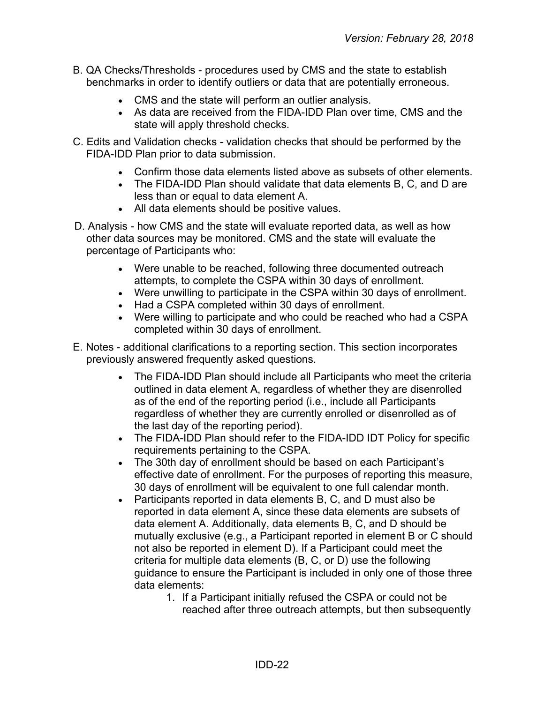- B. QA Checks/Thresholds procedures used by CMS and the state to establish benchmarks in order to identify outliers or data that are potentially erroneous.
	- CMS and the state will perform an outlier analysis.
	- As data are received from the FIDA-IDD Plan over time, CMS and the state will apply threshold checks.
- C. Edits and Validation checks validation checks that should be performed by the FIDA-IDD Plan prior to data submission.
	- Confirm those data elements listed above as subsets of other elements.
	- The FIDA-IDD Plan should validate that data elements B, C, and D are less than or equal to data element A.
	- All data elements should be positive values.
- D. Analysis how CMS and the state will evaluate reported data, as well as how other data sources may be monitored. CMS and the state will evaluate the percentage of Participants who:
	- Were unable to be reached, following three documented outreach attempts, to complete the CSPA within 30 days of enrollment.
	- Were unwilling to participate in the CSPA within 30 days of enrollment.
	- Had a CSPA completed within 30 days of enrollment.
	- Were willing to participate and who could be reached who had a CSPA completed within 30 days of enrollment.
- E. Notes additional clarifications to a reporting section. This section incorporates previously answered frequently asked questions.
	- The FIDA-IDD Plan should include all Participants who meet the criteria outlined in data element A, regardless of whether they are disenrolled as of the end of the reporting period (i.e., include all Participants regardless of whether they are currently enrolled or disenrolled as of the last day of the reporting period).
	- The FIDA-IDD Plan should refer to the FIDA-IDD IDT Policy for specific requirements pertaining to the CSPA.
	- The 30th day of enrollment should be based on each Participant's effective date of enrollment. For the purposes of reporting this measure, 30 days of enrollment will be equivalent to one full calendar month.
	- Participants reported in data elements B, C, and D must also be reported in data element A, since these data elements are subsets of data element A. Additionally, data elements B, C, and D should be mutually exclusive (e.g., a Participant reported in element B or C should not also be reported in element D). If a Participant could meet the criteria for multiple data elements (B, C, or D) use the following guidance to ensure the Participant is included in only one of those three data elements:
		- 1. If a Participant initially refused the CSPA or could not be reached after three outreach attempts, but then subsequently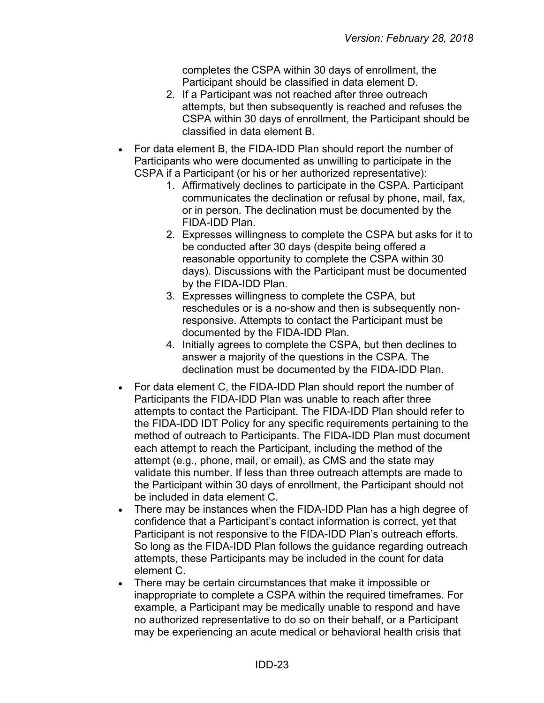completes the CSPA within 30 days of enrollment, the Participant should be classified in data element D.

- 2. If a Participant was not reached after three outreach attempts, but then subsequently is reached and refuses the CSPA within 30 days of enrollment, the Participant should be classified in data element B.
- For data element B, the FIDA-IDD Plan should report the number of Participants who were documented as unwilling to participate in the CSPA if a Participant (or his or her authorized representative):
	- 1. Affirmatively declines to participate in the CSPA. Participant communicates the declination or refusal by phone, mail, fax, or in person. The declination must be documented by the FIDA-IDD Plan.
	- 2. Expresses willingness to complete the CSPA but asks for it to be conducted after 30 days (despite being offered a reasonable opportunity to complete the CSPA within 30 days). Discussions with the Participant must be documented by the FIDA-IDD Plan.
	- 3. Expresses willingness to complete the CSPA, but reschedules or is a no-show and then is subsequently nonresponsive. Attempts to contact the Participant must be documented by the FIDA-IDD Plan.
	- 4. Initially agrees to complete the CSPA, but then declines to answer a majority of the questions in the CSPA. The declination must be documented by the FIDA-IDD Plan.
- For data element C, the FIDA-IDD Plan should report the number of Participants the FIDA-IDD Plan was unable to reach after three attempts to contact the Participant. The FIDA-IDD Plan should refer to the FIDA-IDD IDT Policy for any specific requirements pertaining to the method of outreach to Participants. The FIDA-IDD Plan must document each attempt to reach the Participant, including the method of the attempt (e.g., phone, mail, or email), as CMS and the state may validate this number. If less than three outreach attempts are made to the Participant within 30 days of enrollment, the Participant should not be included in data element C.
- There may be instances when the FIDA-IDD Plan has a high degree of confidence that a Participant's contact information is correct, yet that Participant is not responsive to the FIDA-IDD Plan's outreach efforts. So long as the FIDA-IDD Plan follows the guidance regarding outreach attempts, these Participants may be included in the count for data element C.
- There may be certain circumstances that make it impossible or inappropriate to complete a CSPA within the required timeframes. For example, a Participant may be medically unable to respond and have no authorized representative to do so on their behalf, or a Participant may be experiencing an acute medical or behavioral health crisis that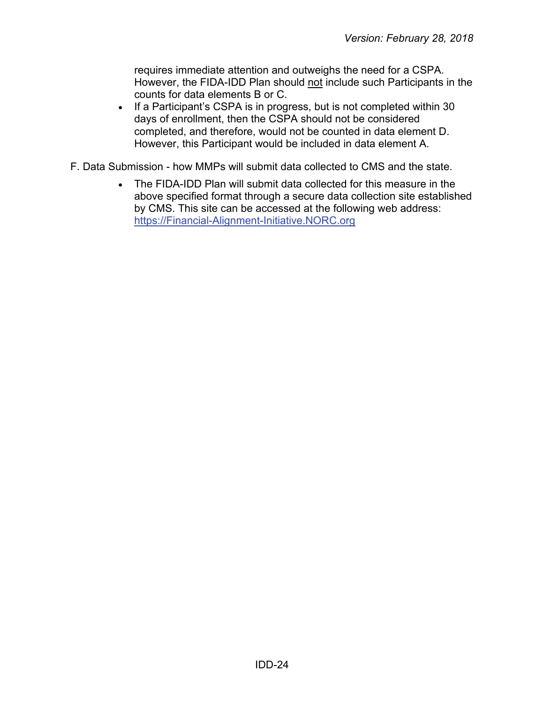requires immediate attention and outweighs the need for a CSPA. However, the FIDA-IDD Plan should not include such Participants in the counts for data elements B or C.

- If a Participant's CSPA is in progress, but is not completed within 30 days of enrollment, then the CSPA should not be considered completed, and therefore, would not be counted in data element D. However, this Participant would be included in data element A.
- <span id="page-23-0"></span>F. Data Submission - how MMPs will submit data collected to CMS and the state.
	- The FIDA-IDD Plan will submit data collected for this measure in the above specified format through a secure data collection site established by CMS. This site can be accessed at the following web address: [https://Financial-Alignment-Initiative.NORC.org](https://financial-alignment-initiative.norc.org/)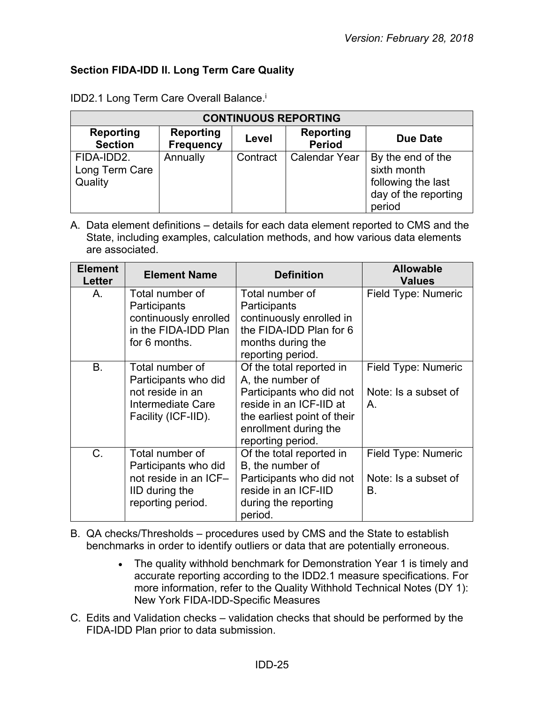# **Section FIDA-IDD II. Long Term Care Quality**

| <b>CONTINUOUS REPORTING</b>             |                                      |          |                                   |                                                                                          |  |
|-----------------------------------------|--------------------------------------|----------|-----------------------------------|------------------------------------------------------------------------------------------|--|
| <b>Reporting</b><br><b>Section</b>      | <b>Reporting</b><br><b>Frequency</b> | Level    | <b>Reporting</b><br><b>Period</b> | <b>Due Date</b>                                                                          |  |
| FIDA-IDD2.<br>Long Term Care<br>Quality | Annually                             | Contract | <b>Calendar Year</b>              | By the end of the<br>sixth month<br>following the last<br>day of the reporting<br>period |  |

IDD2.1 Long Term Care Overall Balance.<sup>i</sup>

A. Data element definitions – details for each data element reported to CMS and the State, including examples, calculation methods, and how various data elements are associated.

| <b>Element</b><br><b>Letter</b> | <b>Element Name</b>                                                                                     | <b>Definition</b>                                                                                                                                                                | <b>Allowable</b><br><b>Values</b>                 |
|---------------------------------|---------------------------------------------------------------------------------------------------------|----------------------------------------------------------------------------------------------------------------------------------------------------------------------------------|---------------------------------------------------|
| Α.                              | Total number of<br>Participants<br>continuously enrolled<br>in the FIDA-IDD Plan<br>for 6 months.       | Total number of<br>Participants<br>continuously enrolled in<br>the FIDA-IDD Plan for 6<br>months during the<br>reporting period.                                                 | Field Type: Numeric                               |
| B.                              | Total number of<br>Participants who did<br>not reside in an<br>Intermediate Care<br>Facility (ICF-IID). | Of the total reported in<br>A, the number of<br>Participants who did not<br>reside in an ICF-IID at<br>the earliest point of their<br>enrollment during the<br>reporting period. | Field Type: Numeric<br>Note: Is a subset of<br>Α. |
| $C_{\cdot}$                     | Total number of<br>Participants who did<br>not reside in an ICF-<br>IID during the<br>reporting period. | Of the total reported in<br>B, the number of<br>Participants who did not<br>reside in an ICF-IID<br>during the reporting<br>period.                                              | Field Type: Numeric<br>Note: Is a subset of<br>В. |

B. QA checks/Thresholds – procedures used by CMS and the State to establish benchmarks in order to identify outliers or data that are potentially erroneous.

- The quality withhold benchmark for Demonstration Year 1 is timely and accurate reporting according to the IDD2.1 measure specifications. For more information, refer to the Quality Withhold Technical Notes (DY 1): New York FIDA-IDD-Specific Measures
- C. Edits and Validation checks validation checks that should be performed by the FIDA-IDD Plan prior to data submission.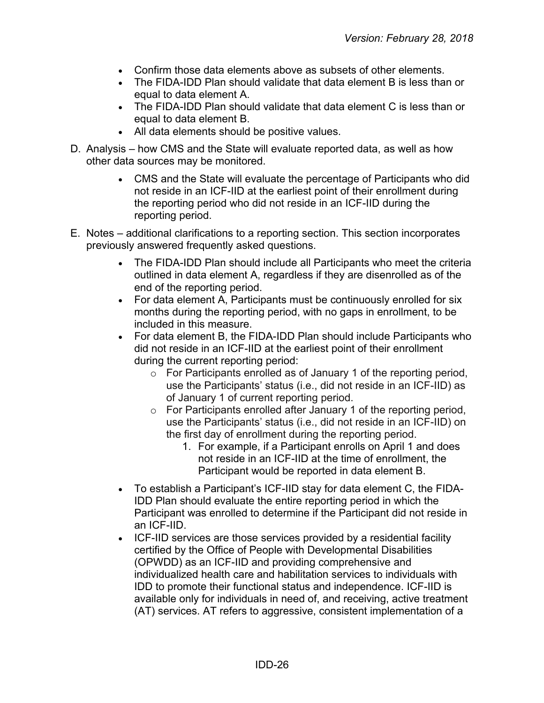- Confirm those data elements above as subsets of other elements.
- The FIDA-IDD Plan should validate that data element B is less than or equal to data element A.
- The FIDA-IDD Plan should validate that data element C is less than or equal to data element B.
- All data elements should be positive values.
- D. Analysis how CMS and the State will evaluate reported data, as well as how other data sources may be monitored.
	- CMS and the State will evaluate the percentage of Participants who did not reside in an ICF-IID at the earliest point of their enrollment during the reporting period who did not reside in an ICF-IID during the reporting period.
- E. Notes additional clarifications to a reporting section. This section incorporates previously answered frequently asked questions.
	- The FIDA-IDD Plan should include all Participants who meet the criteria outlined in data element A, regardless if they are disenrolled as of the end of the reporting period.
	- For data element A, Participants must be continuously enrolled for six months during the reporting period, with no gaps in enrollment, to be included in this measure.
	- For data element B, the FIDA-IDD Plan should include Participants who did not reside in an ICF-IID at the earliest point of their enrollment during the current reporting period:
		- $\circ$  For Participants enrolled as of January 1 of the reporting period, use the Participants' status (i.e., did not reside in an ICF-IID) as of January 1 of current reporting period.
		- $\circ$  For Participants enrolled after January 1 of the reporting period, use the Participants' status (i.e., did not reside in an ICF-IID) on the first day of enrollment during the reporting period.
			- 1. For example, if a Participant enrolls on April 1 and does not reside in an ICF-IID at the time of enrollment, the Participant would be reported in data element B.
	- To establish a Participant's ICF-IID stay for data element C, the FIDA-IDD Plan should evaluate the entire reporting period in which the Participant was enrolled to determine if the Participant did not reside in an ICF-IID.
	- ICF-IID services are those services provided by a residential facility certified by the Office of People with Developmental Disabilities (OPWDD) as an ICF-IID and providing comprehensive and individualized health care and habilitation services to individuals with IDD to promote their functional status and independence. ICF-IID is available only for individuals in need of, and receiving, active treatment (AT) services. AT refers to aggressive, consistent implementation of a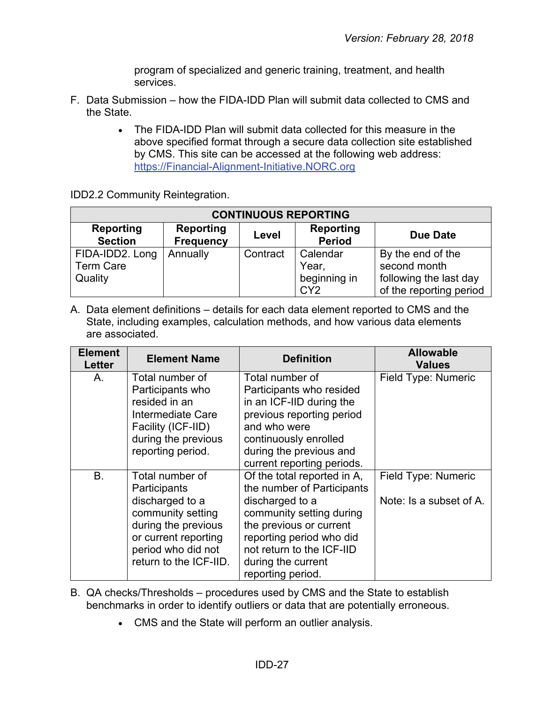program of specialized and generic training, treatment, and health services.

- F. Data Submission how the FIDA-IDD Plan will submit data collected to CMS and the State.
	- The FIDA-IDD Plan will submit data collected for this measure in the above specified format through a secure data collection site established by CMS. This site can be accessed at the following web address: [https://Financial-Alignment-Initiative.NORC.org](https://financial-alignment-initiative.norc.org/)

IDD2.2 Community Reintegration.

| <b>CONTINUOUS REPORTING</b>                    |                                      |                                   |                                   |                                                             |  |
|------------------------------------------------|--------------------------------------|-----------------------------------|-----------------------------------|-------------------------------------------------------------|--|
| <b>Reporting</b><br><b>Section</b>             | <b>Reporting</b><br><b>Frequency</b> | <b>Reporting</b><br><b>Period</b> | <b>Due Date</b>                   |                                                             |  |
| FIDA-IDD2. Long<br><b>Term Care</b><br>Quality | Annually                             | Contract                          | Calendar<br>Year,<br>beginning in | By the end of the<br>second month<br>following the last day |  |
|                                                |                                      |                                   | CY <sub>2</sub>                   | of the reporting period                                     |  |

| <b>Element</b><br><b>Letter</b> | <b>Element Name</b>                                                                                                                                                    | <b>Definition</b>                                                                                                                                                                                                                       | <b>Allowable</b><br><b>Values</b>              |
|---------------------------------|------------------------------------------------------------------------------------------------------------------------------------------------------------------------|-----------------------------------------------------------------------------------------------------------------------------------------------------------------------------------------------------------------------------------------|------------------------------------------------|
| A.                              | Total number of<br>Participants who<br>resided in an<br>Intermediate Care<br>Facility (ICF-IID)<br>during the previous<br>reporting period.                            | Total number of<br>Participants who resided<br>in an ICF-IID during the<br>previous reporting period<br>and who were<br>continuously enrolled<br>during the previous and<br>current reporting periods.                                  | Field Type: Numeric                            |
| <b>B.</b>                       | Total number of<br>Participants<br>discharged to a<br>community setting<br>during the previous<br>or current reporting<br>period who did not<br>return to the ICF-IID. | Of the total reported in A,<br>the number of Participants<br>discharged to a<br>community setting during<br>the previous or current<br>reporting period who did<br>not return to the ICF-IID<br>during the current<br>reporting period. | Field Type: Numeric<br>Note: Is a subset of A. |

- B. QA checks/Thresholds procedures used by CMS and the State to establish benchmarks in order to identify outliers or data that are potentially erroneous.
	- CMS and the State will perform an outlier analysis.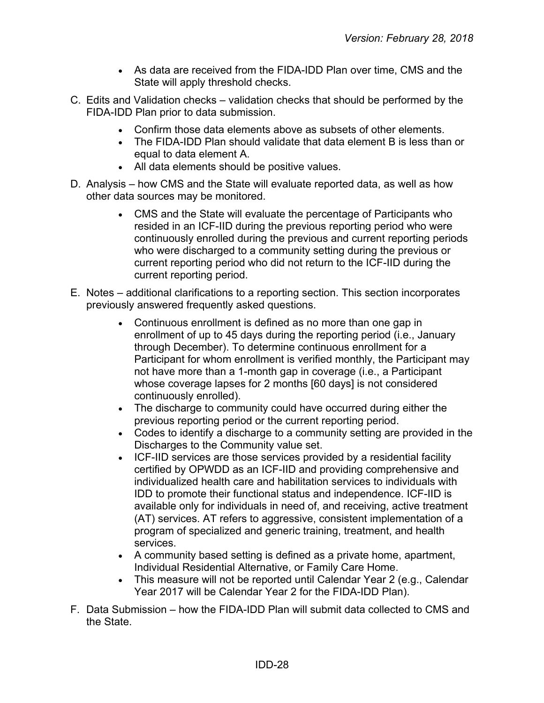- As data are received from the FIDA-IDD Plan over time, CMS and the State will apply threshold checks.
- C. Edits and Validation checks validation checks that should be performed by the FIDA-IDD Plan prior to data submission.
	- Confirm those data elements above as subsets of other elements.
	- The FIDA-IDD Plan should validate that data element B is less than or equal to data element A.
	- All data elements should be positive values.
- D. Analysis how CMS and the State will evaluate reported data, as well as how other data sources may be monitored.
	- CMS and the State will evaluate the percentage of Participants who resided in an ICF-IID during the previous reporting period who were continuously enrolled during the previous and current reporting periods who were discharged to a community setting during the previous or current reporting period who did not return to the ICF-IID during the current reporting period.
- E. Notes additional clarifications to a reporting section. This section incorporates previously answered frequently asked questions.
	- Continuous enrollment is defined as no more than one gap in enrollment of up to 45 days during the reporting period (i.e., January through December). To determine continuous enrollment for a Participant for whom enrollment is verified monthly, the Participant may not have more than a 1-month gap in coverage (i.e., a Participant whose coverage lapses for 2 months [60 days] is not considered continuously enrolled).
	- The discharge to community could have occurred during either the previous reporting period or the current reporting period.
	- Codes to identify a discharge to a community setting are provided in the Discharges to the Community value set.
	- ICF-IID services are those services provided by a residential facility certified by OPWDD as an ICF-IID and providing comprehensive and individualized health care and habilitation services to individuals with IDD to promote their functional status and independence. ICF-IID is available only for individuals in need of, and receiving, active treatment (AT) services. AT refers to aggressive, consistent implementation of a program of specialized and generic training, treatment, and health services.
	- A community based setting is defined as a private home, apartment, Individual Residential Alternative, or Family Care Home.
	- This measure will not be reported until Calendar Year 2 (e.g., Calendar Year 2017 will be Calendar Year 2 for the FIDA-IDD Plan).
- F. Data Submission how the FIDA-IDD Plan will submit data collected to CMS and the State.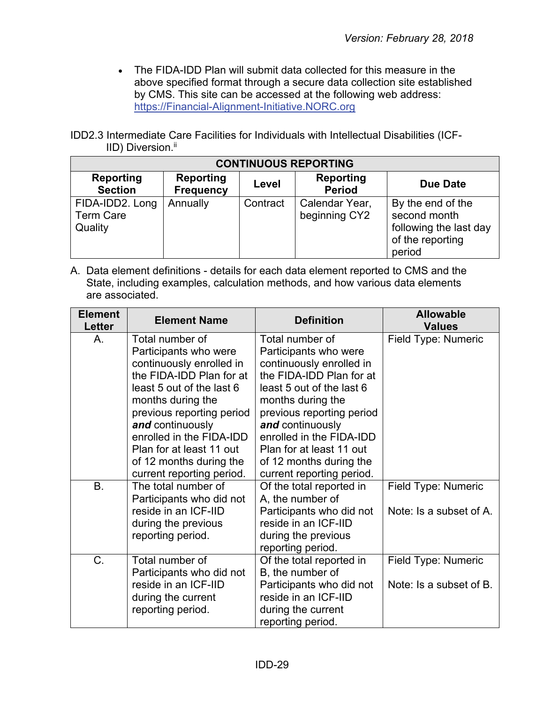• The FIDA-IDD Plan will submit data collected for this measure in the above specified format through a secure data collection site established by CMS. This site can be accessed at the following web address: [https://Financial-Alignment-Initiative.NORC.org](https://financial-alignment-initiative.norc.org/)

IDD2.3 Intermediate Care Facilities for Individuals with Intellectual Disabilities (ICF-IID) Diversion.<sup>ii</sup>

| <b>CONTINUOUS REPORTING</b>                    |                               |          |                                   |                                                                                           |  |
|------------------------------------------------|-------------------------------|----------|-----------------------------------|-------------------------------------------------------------------------------------------|--|
| <b>Reporting</b><br><b>Section</b>             | <b>Reporting</b><br>Frequency | Level    | <b>Reporting</b><br><b>Period</b> | <b>Due Date</b>                                                                           |  |
| FIDA-IDD2. Long<br><b>Term Care</b><br>Quality | Annually                      | Contract | Calendar Year,<br>beginning CY2   | By the end of the<br>second month<br>following the last day<br>of the reporting<br>period |  |

| <b>Element</b><br>Letter | <b>Element Name</b>                                                                                                                                                                                                                                                                                                 | <b>Definition</b>                                                                                                                                                                                                                                                                                                   | <b>Allowable</b><br><b>Values</b>              |
|--------------------------|---------------------------------------------------------------------------------------------------------------------------------------------------------------------------------------------------------------------------------------------------------------------------------------------------------------------|---------------------------------------------------------------------------------------------------------------------------------------------------------------------------------------------------------------------------------------------------------------------------------------------------------------------|------------------------------------------------|
| A.                       | Total number of<br>Participants who were<br>continuously enrolled in<br>the FIDA-IDD Plan for at<br>least 5 out of the last 6<br>months during the<br>previous reporting period<br>and continuously<br>enrolled in the FIDA-IDD<br>Plan for at least 11 out<br>of 12 months during the<br>current reporting period. | Total number of<br>Participants who were<br>continuously enrolled in<br>the FIDA-IDD Plan for at<br>least 5 out of the last 6<br>months during the<br>previous reporting period<br>and continuously<br>enrolled in the FIDA-IDD<br>Plan for at least 11 out<br>of 12 months during the<br>current reporting period. | Field Type: Numeric                            |
| <b>B.</b>                | The total number of<br>Participants who did not<br>reside in an ICF-IID<br>during the previous<br>reporting period.                                                                                                                                                                                                 | Of the total reported in<br>A, the number of<br>Participants who did not<br>reside in an ICF-IID<br>during the previous<br>reporting period.                                                                                                                                                                        | Field Type: Numeric<br>Note: Is a subset of A. |
| $C_{\cdot}$              | Total number of<br>Participants who did not<br>reside in an ICF-IID<br>during the current<br>reporting period.                                                                                                                                                                                                      | Of the total reported in<br>B, the number of<br>Participants who did not<br>reside in an ICF-IID<br>during the current<br>reporting period.                                                                                                                                                                         | Field Type: Numeric<br>Note: Is a subset of B. |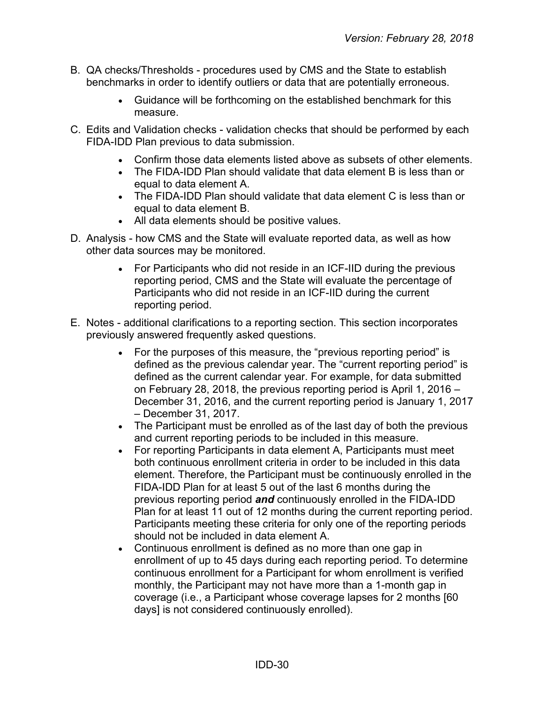- B. QA checks/Thresholds procedures used by CMS and the State to establish benchmarks in order to identify outliers or data that are potentially erroneous.
	- Guidance will be forthcoming on the established benchmark for this measure.
- C. Edits and Validation checks validation checks that should be performed by each FIDA-IDD Plan previous to data submission.
	- Confirm those data elements listed above as subsets of other elements.
	- The FIDA-IDD Plan should validate that data element B is less than or equal to data element A.
	- The FIDA-IDD Plan should validate that data element C is less than or equal to data element B.
	- All data elements should be positive values.
- D. Analysis how CMS and the State will evaluate reported data, as well as how other data sources may be monitored.
	- For Participants who did not reside in an ICF-IID during the previous reporting period, CMS and the State will evaluate the percentage of Participants who did not reside in an ICF-IID during the current reporting period.
- E. Notes additional clarifications to a reporting section. This section incorporates previously answered frequently asked questions.
	- For the purposes of this measure, the "previous reporting period" is defined as the previous calendar year. The "current reporting period" is defined as the current calendar year. For example, for data submitted on February 28, 2018, the previous reporting period is April 1, 2016 – December 31, 2016, and the current reporting period is January 1, 2017 – December 31, 2017.
	- The Participant must be enrolled as of the last day of both the previous and current reporting periods to be included in this measure.
	- For reporting Participants in data element A, Participants must meet both continuous enrollment criteria in order to be included in this data element. Therefore, the Participant must be continuously enrolled in the FIDA-IDD Plan for at least 5 out of the last 6 months during the previous reporting period *and* continuously enrolled in the FIDA-IDD Plan for at least 11 out of 12 months during the current reporting period. Participants meeting these criteria for only one of the reporting periods should not be included in data element A.
	- Continuous enrollment is defined as no more than one gap in enrollment of up to 45 days during each reporting period. To determine continuous enrollment for a Participant for whom enrollment is verified monthly, the Participant may not have more than a 1-month gap in coverage (i.e., a Participant whose coverage lapses for 2 months [60 days] is not considered continuously enrolled).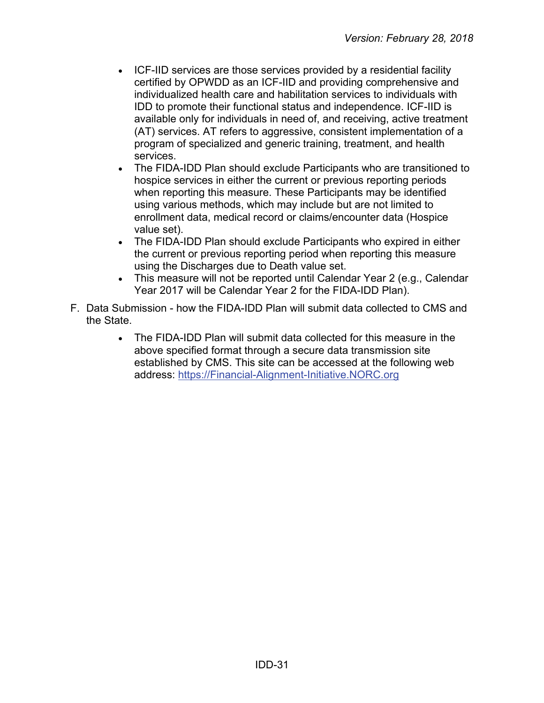- ICF-IID services are those services provided by a residential facility certified by OPWDD as an ICF-IID and providing comprehensive and individualized health care and habilitation services to individuals with IDD to promote their functional status and independence. ICF-IID is available only for individuals in need of, and receiving, active treatment (AT) services. AT refers to aggressive, consistent implementation of a program of specialized and generic training, treatment, and health services.
- The FIDA-IDD Plan should exclude Participants who are transitioned to hospice services in either the current or previous reporting periods when reporting this measure. These Participants may be identified using various methods, which may include but are not limited to enrollment data, medical record or claims/encounter data (Hospice value set).
- The FIDA-IDD Plan should exclude Participants who expired in either the current or previous reporting period when reporting this measure using the Discharges due to Death value set.
- This measure will not be reported until Calendar Year 2 (e.g., Calendar Year 2017 will be Calendar Year 2 for the FIDA-IDD Plan).
- <span id="page-30-0"></span>F. Data Submission - how the FIDA-IDD Plan will submit data collected to CMS and the State.
	- The FIDA-IDD Plan will submit data collected for this measure in the above specified format through a secure data transmission site established by CMS. This site can be accessed at the following web address: [https://Financial-Alignment-Initiative.NORC.org](https://financial-alignment-initiative.norc.org/)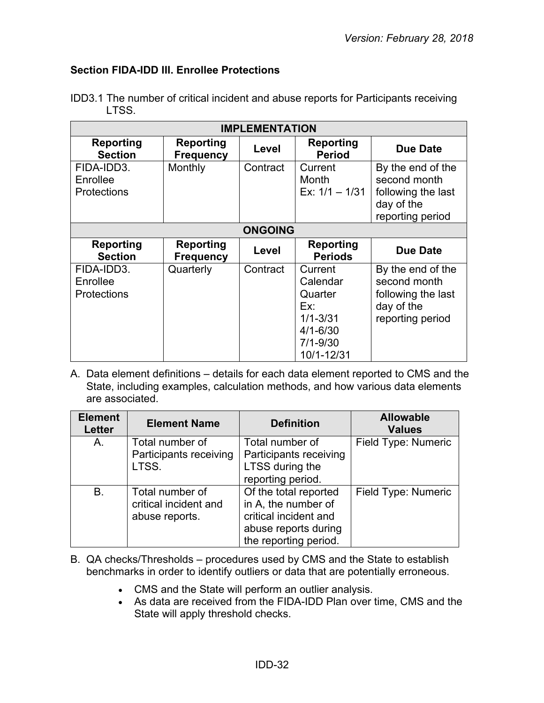#### **Section FIDA-IDD III. Enrollee Protections**

| <b>IMPLEMENTATION</b>                        |                                      |                |                                                                                                     |                                                                                           |  |
|----------------------------------------------|--------------------------------------|----------------|-----------------------------------------------------------------------------------------------------|-------------------------------------------------------------------------------------------|--|
| Reporting<br><b>Section</b>                  | <b>Reporting</b><br><b>Frequency</b> | Level          | Reporting<br><b>Period</b>                                                                          | <b>Due Date</b>                                                                           |  |
| FIDA-IDD3.<br>Enrollee<br><b>Protections</b> | Monthly                              | Contract       | Current<br>Month<br>Ex: $1/1 - 1/31$                                                                | By the end of the<br>second month<br>following the last<br>day of the<br>reporting period |  |
|                                              |                                      | <b>ONGOING</b> |                                                                                                     |                                                                                           |  |
| <b>Reporting</b><br><b>Section</b>           | Reporting<br><b>Frequency</b>        | Level          | <b>Reporting</b><br><b>Periods</b>                                                                  | <b>Due Date</b>                                                                           |  |
| FIDA-IDD3.<br>Enrollee<br><b>Protections</b> | Quarterly                            | Contract       | Current<br>Calendar<br>Quarter<br>Ex:<br>$1/1 - 3/31$<br>$4/1 - 6/30$<br>$7/1 - 9/30$<br>10/1-12/31 | By the end of the<br>second month<br>following the last<br>day of the<br>reporting period |  |

IDD3.1 The number of critical incident and abuse reports for Participants receiving LTSS.

| <b>Element</b><br><b>Letter</b> | <b>Element Name</b>                                        | <b>Definition</b>                                                                                                      | <b>Allowable</b><br><b>Values</b> |
|---------------------------------|------------------------------------------------------------|------------------------------------------------------------------------------------------------------------------------|-----------------------------------|
| A.                              | Total number of<br>Participants receiving<br>LTSS.         | Total number of<br>Participants receiving<br>LTSS during the<br>reporting period.                                      | Field Type: Numeric               |
| В.                              | Total number of<br>critical incident and<br>abuse reports. | Of the total reported<br>in A, the number of<br>critical incident and<br>abuse reports during<br>the reporting period. | Field Type: Numeric               |

- B. QA checks/Thresholds procedures used by CMS and the State to establish benchmarks in order to identify outliers or data that are potentially erroneous.
	- CMS and the State will perform an outlier analysis.
	- As data are received from the FIDA-IDD Plan over time, CMS and the State will apply threshold checks.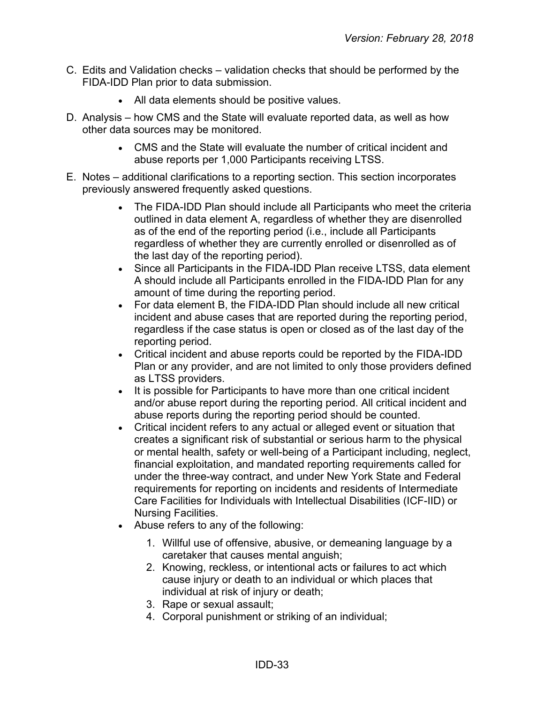- C. Edits and Validation checks validation checks that should be performed by the FIDA-IDD Plan prior to data submission.
	- All data elements should be positive values.
- D. Analysis how CMS and the State will evaluate reported data, as well as how other data sources may be monitored.
	- CMS and the State will evaluate the number of critical incident and abuse reports per 1,000 Participants receiving LTSS.
- E. Notes additional clarifications to a reporting section. This section incorporates previously answered frequently asked questions.
	- The FIDA-IDD Plan should include all Participants who meet the criteria outlined in data element A, regardless of whether they are disenrolled as of the end of the reporting period (i.e., include all Participants regardless of whether they are currently enrolled or disenrolled as of the last day of the reporting period).
	- Since all Participants in the FIDA-IDD Plan receive LTSS, data element A should include all Participants enrolled in the FIDA-IDD Plan for any amount of time during the reporting period.
	- For data element B, the FIDA-IDD Plan should include all new critical incident and abuse cases that are reported during the reporting period, regardless if the case status is open or closed as of the last day of the reporting period.
	- Critical incident and abuse reports could be reported by the FIDA-IDD Plan or any provider, and are not limited to only those providers defined as LTSS providers.
	- It is possible for Participants to have more than one critical incident and/or abuse report during the reporting period. All critical incident and abuse reports during the reporting period should be counted.
	- Critical incident refers to any actual or alleged event or situation that creates a significant risk of substantial or serious harm to the physical or mental health, safety or well-being of a Participant including, neglect, financial exploitation, and mandated reporting requirements called for under the three-way contract, and under New York State and Federal requirements for reporting on incidents and residents of Intermediate Care Facilities for Individuals with Intellectual Disabilities (ICF-IID) or Nursing Facilities.
	- Abuse refers to any of the following:
		- 1. Willful use of offensive, abusive, or demeaning language by a caretaker that causes mental anguish;
		- 2. Knowing, reckless, or intentional acts or failures to act which cause injury or death to an individual or which places that individual at risk of injury or death;
		- 3. Rape or sexual assault;
		- 4. Corporal punishment or striking of an individual;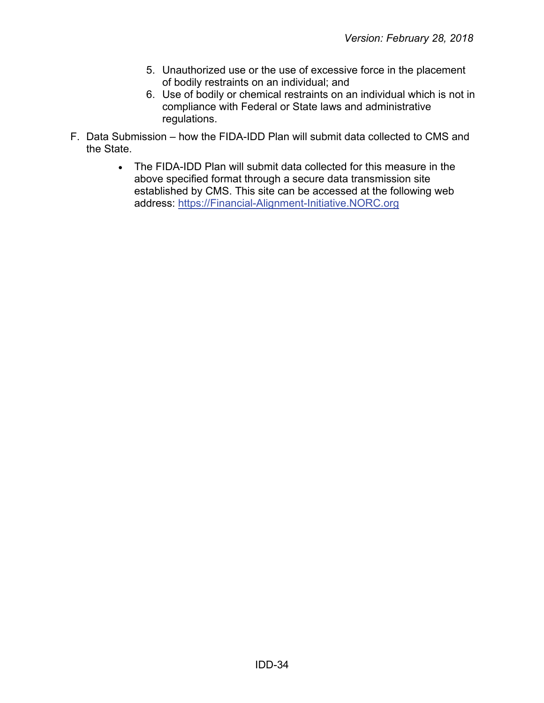- 5. Unauthorized use or the use of excessive force in the placement of bodily restraints on an individual; and
- 6. Use of bodily or chemical restraints on an individual which is not in compliance with Federal or State laws and administrative regulations.
- F. Data Submission how the FIDA-IDD Plan will submit data collected to CMS and the State.
	- The FIDA-IDD Plan will submit data collected for this measure in the above specified format through a secure data transmission site established by CMS. This site can be accessed at the following web address: [https://Financial-Alignment-Initiative.NORC.org](https://financial-alignment-initiative.norc.org/)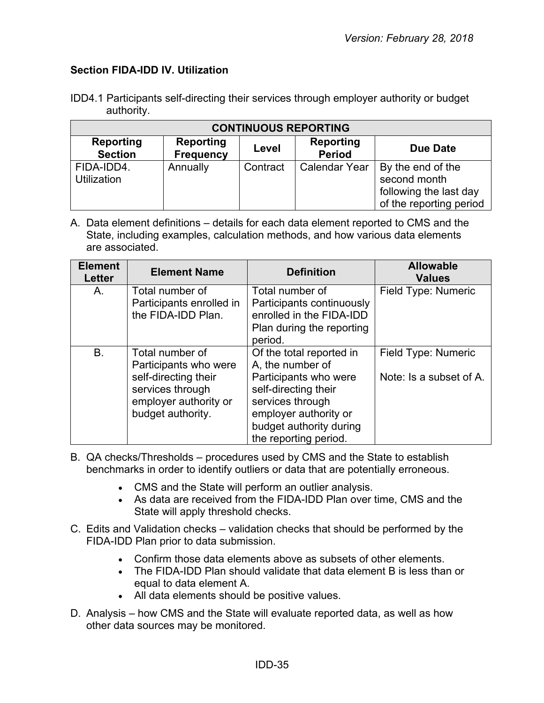#### <span id="page-34-0"></span>**Section FIDA-IDD IV. Utilization**

| IDD4.1 Participants self-directing their services through employer authority or budget |  |  |
|----------------------------------------------------------------------------------------|--|--|
| authority.                                                                             |  |  |

| <b>CONTINUOUS REPORTING</b>        |          |          |                      |                                                                                        |  |
|------------------------------------|----------|----------|----------------------|----------------------------------------------------------------------------------------|--|
| <b>Reporting</b><br><b>Section</b> | Due Date |          |                      |                                                                                        |  |
| FIDA-IDD4.<br><b>Utilization</b>   | Annually | Contract | <b>Calendar Year</b> | By the end of the<br>second month<br>following the last day<br>of the reporting period |  |

| <b>Element</b><br><b>Letter</b> | <b>Element Name</b>                                                                                                                | <b>Definition</b>                                                                                                                                                                              | <b>Allowable</b><br><b>Values</b>              |
|---------------------------------|------------------------------------------------------------------------------------------------------------------------------------|------------------------------------------------------------------------------------------------------------------------------------------------------------------------------------------------|------------------------------------------------|
| A.                              | Total number of<br>Participants enrolled in<br>the FIDA-IDD Plan.                                                                  | Total number of<br>Participants continuously<br>enrolled in the FIDA-IDD<br>Plan during the reporting<br>period.                                                                               | Field Type: Numeric                            |
| B.                              | Total number of<br>Participants who were<br>self-directing their<br>services through<br>employer authority or<br>budget authority. | Of the total reported in<br>A, the number of<br>Participants who were<br>self-directing their<br>services through<br>employer authority or<br>budget authority during<br>the reporting period. | Field Type: Numeric<br>Note: Is a subset of A. |

- B. QA checks/Thresholds procedures used by CMS and the State to establish benchmarks in order to identify outliers or data that are potentially erroneous.
	- CMS and the State will perform an outlier analysis.
	- As data are received from the FIDA-IDD Plan over time, CMS and the State will apply threshold checks.
- C. Edits and Validation checks validation checks that should be performed by the FIDA-IDD Plan prior to data submission.
	- Confirm those data elements above as subsets of other elements.
	- The FIDA-IDD Plan should validate that data element B is less than or equal to data element A.
	- All data elements should be positive values.
- D. Analysis how CMS and the State will evaluate reported data, as well as how other data sources may be monitored.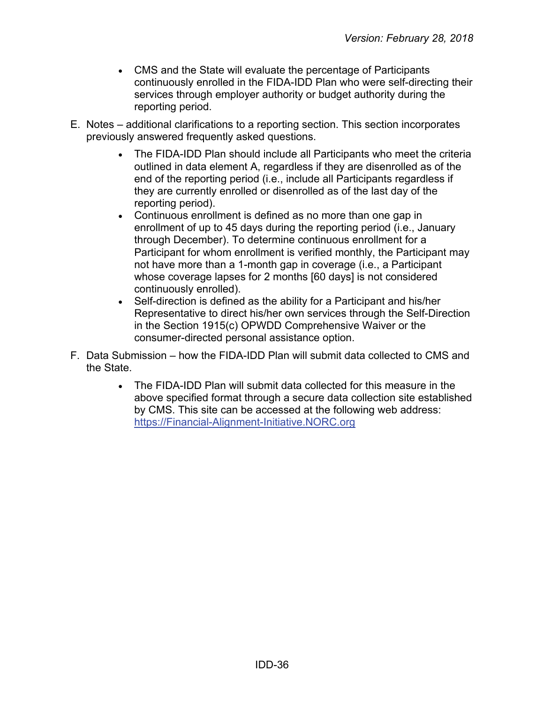- CMS and the State will evaluate the percentage of Participants continuously enrolled in the FIDA-IDD Plan who were self-directing their services through employer authority or budget authority during the reporting period.
- E. Notes additional clarifications to a reporting section. This section incorporates previously answered frequently asked questions.
	- The FIDA-IDD Plan should include all Participants who meet the criteria outlined in data element A, regardless if they are disenrolled as of the end of the reporting period (i.e., include all Participants regardless if they are currently enrolled or disenrolled as of the last day of the reporting period).
	- Continuous enrollment is defined as no more than one gap in enrollment of up to 45 days during the reporting period (i.e., January through December). To determine continuous enrollment for a Participant for whom enrollment is verified monthly, the Participant may not have more than a 1-month gap in coverage (i.e., a Participant whose coverage lapses for 2 months [60 days] is not considered continuously enrolled).
	- Self-direction is defined as the ability for a Participant and his/her Representative to direct his/her own services through the Self-Direction in the Section 1915(c) OPWDD Comprehensive Waiver or the consumer-directed personal assistance option.
- F. Data Submission how the FIDA-IDD Plan will submit data collected to CMS and the State.
	- The FIDA-IDD Plan will submit data collected for this measure in the above specified format through a secure data collection site established by CMS. This site can be accessed at the following web address: [https://Financial-Alignment-Initiative.NORC.org](https://financial-alignment-initiative.norc.org/)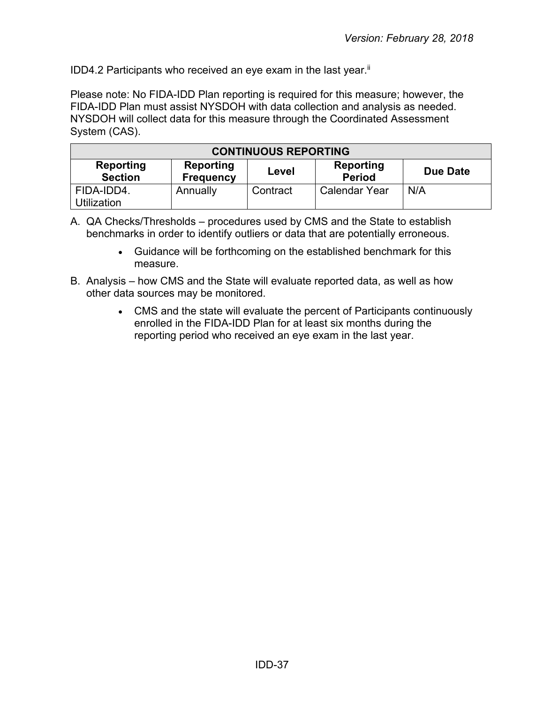IDD4.2 Participants who received an eye exam in the last year. $\mathbb{I}$ 

Please note: No FIDA-IDD Plan reporting is required for this measure; however, the FIDA-IDD Plan must assist NYSDOH with data collection and analysis as needed. NYSDOH will collect data for this measure through the Coordinated Assessment System (CAS).

| <b>CONTINUOUS REPORTING</b>                                                                                                   |          |          |                      |     |  |
|-------------------------------------------------------------------------------------------------------------------------------|----------|----------|----------------------|-----|--|
| <b>Reporting</b><br><b>Reporting</b><br>Reporting<br><b>Due Date</b><br>Level<br><b>Section</b><br><b>Period</b><br>Frequency |          |          |                      |     |  |
| FIDA-IDD4.<br>Utilization                                                                                                     | Annually | Contract | <b>Calendar Year</b> | N/A |  |

- A. QA Checks/Thresholds procedures used by CMS and the State to establish benchmarks in order to identify outliers or data that are potentially erroneous.
	- Guidance will be forthcoming on the established benchmark for this measure.
- B. Analysis how CMS and the State will evaluate reported data, as well as how other data sources may be monitored.
	- CMS and the state will evaluate the percent of Participants continuously enrolled in the FIDA-IDD Plan for at least six months during the reporting period who received an eye exam in the last year.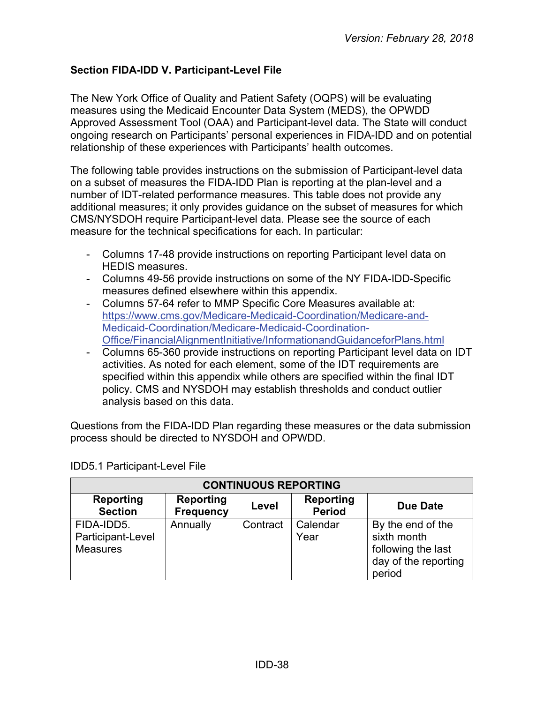# <span id="page-37-0"></span>**Section FIDA-IDD V. Participant-Level File**

The New York Office of Quality and Patient Safety (OQPS) will be evaluating measures using the Medicaid Encounter Data System (MEDS), the OPWDD Approved Assessment Tool (OAA) and Participant-level data. The State will conduct ongoing research on Participants' personal experiences in FIDA-IDD and on potential relationship of these experiences with Participants' health outcomes.

The following table provides instructions on the submission of Participant-level data on a subset of measures the FIDA-IDD Plan is reporting at the plan-level and a number of IDT-related performance measures. This table does not provide any additional measures; it only provides guidance on the subset of measures for which CMS/NYSDOH require Participant-level data. Please see the source of each measure for the technical specifications for each. In particular:

- Columns 17-48 provide instructions on reporting Participant level data on HEDIS measures.
- Columns 49-56 provide instructions on some of the NY FIDA-IDD-Specific measures defined elsewhere within this appendix.
- Columns 57-64 refer to MMP Specific Core Measures available at: [https://www.cms.gov/Medicare-Medicaid-Coordination/Medicare-and-](https://www.cms.gov/Medicare-Medicaid-Coordination/Medicare-and-Medicaid-Coordination/Medicare-Medicaid-Coordination-Office/FinancialAlignmentInitiative/InformationandGuidanceforPlans.html)[Medicaid-Coordination/Medicare-Medicaid-Coordination-](https://www.cms.gov/Medicare-Medicaid-Coordination/Medicare-and-Medicaid-Coordination/Medicare-Medicaid-Coordination-Office/FinancialAlignmentInitiative/InformationandGuidanceforPlans.html)[Office/FinancialAlignmentInitiative/InformationandGuidanceforPlans.html](https://www.cms.gov/Medicare-Medicaid-Coordination/Medicare-and-Medicaid-Coordination/Medicare-Medicaid-Coordination-Office/FinancialAlignmentInitiative/InformationandGuidanceforPlans.html)
- Columns 65-360 provide instructions on reporting Participant level data on IDT activities. As noted for each element, some of the IDT requirements are specified within this appendix while others are specified within the final IDT policy. CMS and NYSDOH may establish thresholds and conduct outlier analysis based on this data.

Questions from the FIDA-IDD Plan regarding these measures or the data submission process should be directed to NYSDOH and OPWDD.

| <b>CONTINUOUS REPORTING</b>                        |                                      |          |                                   |                                                                                          |  |
|----------------------------------------------------|--------------------------------------|----------|-----------------------------------|------------------------------------------------------------------------------------------|--|
| <b>Reporting</b><br><b>Section</b>                 | <b>Reporting</b><br><b>Frequency</b> | Level    | <b>Reporting</b><br><b>Period</b> | Due Date                                                                                 |  |
| FIDA-IDD5.<br>Participant-Level<br><b>Measures</b> | Annually                             | Contract | Calendar<br>Year                  | By the end of the<br>sixth month<br>following the last<br>day of the reporting<br>period |  |

IDD5.1 Participant-Level File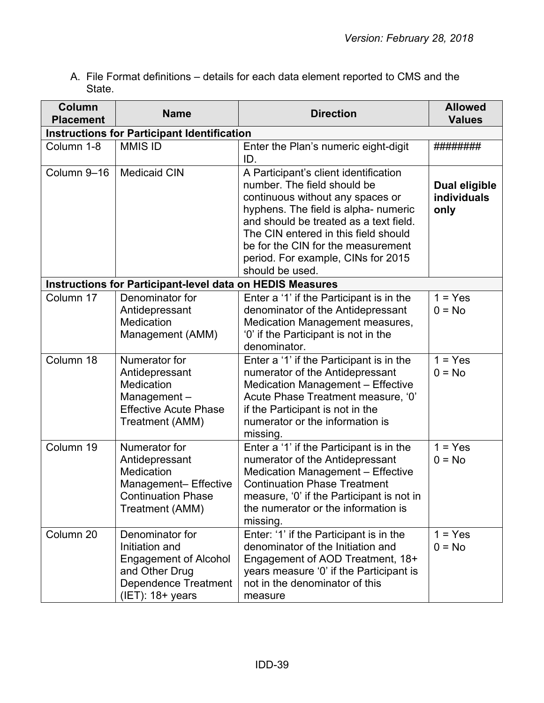A. File Format definitions – details for each data element reported to CMS and the State.

| Column<br><b>Placement</b> | <b>Name</b>                                                                                                                               | <b>Direction</b>                                                                                                                                                                                                                                                                                                                  | <b>Allowed</b><br><b>Values</b>      |
|----------------------------|-------------------------------------------------------------------------------------------------------------------------------------------|-----------------------------------------------------------------------------------------------------------------------------------------------------------------------------------------------------------------------------------------------------------------------------------------------------------------------------------|--------------------------------------|
|                            | <b>Instructions for Participant Identification</b>                                                                                        |                                                                                                                                                                                                                                                                                                                                   |                                      |
| Column 1-8                 | <b>MMIS ID</b>                                                                                                                            | Enter the Plan's numeric eight-digit<br>ID.                                                                                                                                                                                                                                                                                       | ########                             |
| Column 9-16                | <b>Medicaid CIN</b>                                                                                                                       | A Participant's client identification<br>number. The field should be<br>continuous without any spaces or<br>hyphens. The field is alpha- numeric<br>and should be treated as a text field.<br>The CIN entered in this field should<br>be for the CIN for the measurement<br>period. For example, CINs for 2015<br>should be used. | Dual eligible<br>individuals<br>only |
|                            | <b>Instructions for Participant-level data on HEDIS Measures</b>                                                                          |                                                                                                                                                                                                                                                                                                                                   |                                      |
| Column 17                  | Denominator for<br>Antidepressant<br>Medication<br>Management (AMM)                                                                       | Enter a '1' if the Participant is in the<br>denominator of the Antidepressant<br>Medication Management measures,<br>'0' if the Participant is not in the<br>denominator.                                                                                                                                                          | $1 = Yes$<br>$0 = No$                |
| Column 18                  | Numerator for<br>Antidepressant<br>Medication<br>Management-<br><b>Effective Acute Phase</b><br>Treatment (AMM)                           | Enter a '1' if the Participant is in the<br>numerator of the Antidepressant<br><b>Medication Management - Effective</b><br>Acute Phase Treatment measure, '0'<br>if the Participant is not in the<br>numerator or the information is<br>missing.                                                                                  | $1 = Yes$<br>$0 = No$                |
| Column 19                  | Numerator for<br>Antidepressant<br>Medication<br>Management-Effective<br><b>Continuation Phase</b><br>Treatment (AMM)                     | Enter a '1' if the Participant is in the<br>numerator of the Antidepressant<br>Medication Management - Effective<br><b>Continuation Phase Treatment</b><br>measure, '0' if the Participant is not in<br>the numerator or the information is<br>missing.                                                                           | $1 = Yes$<br>$0 = No$                |
| Column 20                  | Denominator for<br>Initiation and<br><b>Engagement of Alcohol</b><br>and Other Drug<br><b>Dependence Treatment</b><br>$(IET)$ : 18+ years | Enter: '1' if the Participant is in the<br>denominator of the Initiation and<br>Engagement of AOD Treatment, 18+<br>years measure '0' if the Participant is<br>not in the denominator of this<br>measure                                                                                                                          | $1 = Yes$<br>$0 = No$                |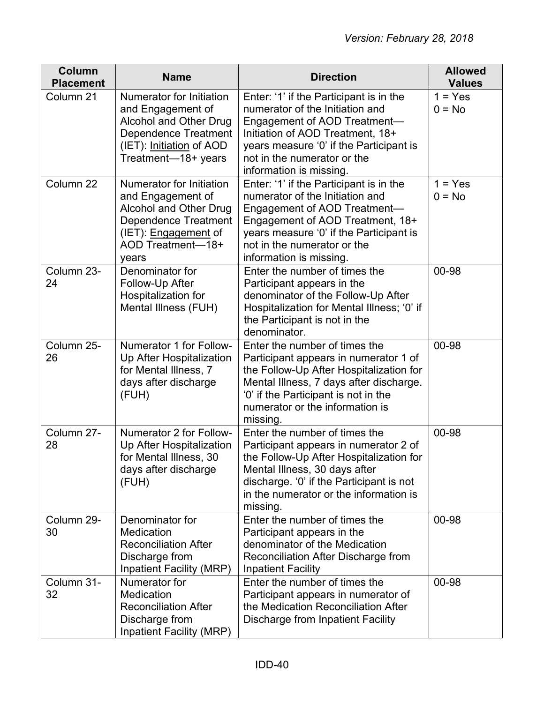| <b>Column</b><br><b>Placement</b> | <b>Name</b>                                                                                                                                                         | <b>Direction</b>                                                                                                                                                                                                                                     | <b>Allowed</b><br><b>Values</b> |
|-----------------------------------|---------------------------------------------------------------------------------------------------------------------------------------------------------------------|------------------------------------------------------------------------------------------------------------------------------------------------------------------------------------------------------------------------------------------------------|---------------------------------|
| Column 21                         | Numerator for Initiation<br>and Engagement of<br>Alcohol and Other Drug<br><b>Dependence Treatment</b><br>(IET): Initiation of AOD<br>Treatment-18+ years           | Enter: '1' if the Participant is in the<br>numerator of the Initiation and<br>Engagement of AOD Treatment-<br>Initiation of AOD Treatment, 18+<br>years measure '0' if the Participant is<br>not in the numerator or the<br>information is missing.  | $1 = Yes$<br>$0 = No$           |
| Column 22                         | Numerator for Initiation<br>and Engagement of<br>Alcohol and Other Drug<br><b>Dependence Treatment</b><br>(IET): <i>Engagement</i> of<br>AOD Treatment-18+<br>years | Enter: '1' if the Participant is in the<br>numerator of the Initiation and<br>Engagement of AOD Treatment-<br>Engagement of AOD Treatment, 18+<br>years measure '0' if the Participant is<br>not in the numerator or the<br>information is missing.  | $1 = Yes$<br>$0 = No$           |
| Column 23-<br>24                  | Denominator for<br>Follow-Up After<br>Hospitalization for<br>Mental Illness (FUH)                                                                                   | Enter the number of times the<br>Participant appears in the<br>denominator of the Follow-Up After<br>Hospitalization for Mental Illness; '0' if<br>the Participant is not in the<br>denominator.                                                     | 00-98                           |
| Column 25-<br>26                  | Numerator 1 for Follow-<br>Up After Hospitalization<br>for Mental Illness, 7<br>days after discharge<br>(FUH)                                                       | Enter the number of times the<br>Participant appears in numerator 1 of<br>the Follow-Up After Hospitalization for<br>Mental Illness, 7 days after discharge.<br>'0' if the Participant is not in the<br>numerator or the information is<br>missing.  | 00-98                           |
| Column 27-<br>28                  | Numerator 2 for Follow-<br>Up After Hospitalization<br>for Mental Illness, 30<br>days after discharge<br>(FUH)                                                      | Enter the number of times the<br>Participant appears in numerator 2 of<br>the Follow-Up After Hospitalization for<br>Mental Illness, 30 days after<br>discharge. '0' if the Participant is not<br>in the numerator or the information is<br>missing. | 00-98                           |
| Column 29-<br>30                  | Denominator for<br>Medication<br><b>Reconciliation After</b><br>Discharge from<br><b>Inpatient Facility (MRP)</b>                                                   | Enter the number of times the<br>Participant appears in the<br>denominator of the Medication<br>Reconciliation After Discharge from<br><b>Inpatient Facility</b>                                                                                     | 00-98                           |
| Column 31-<br>32                  | Numerator for<br>Medication<br><b>Reconciliation After</b><br>Discharge from<br><b>Inpatient Facility (MRP)</b>                                                     | Enter the number of times the<br>Participant appears in numerator of<br>the Medication Reconciliation After<br>Discharge from Inpatient Facility                                                                                                     | 00-98                           |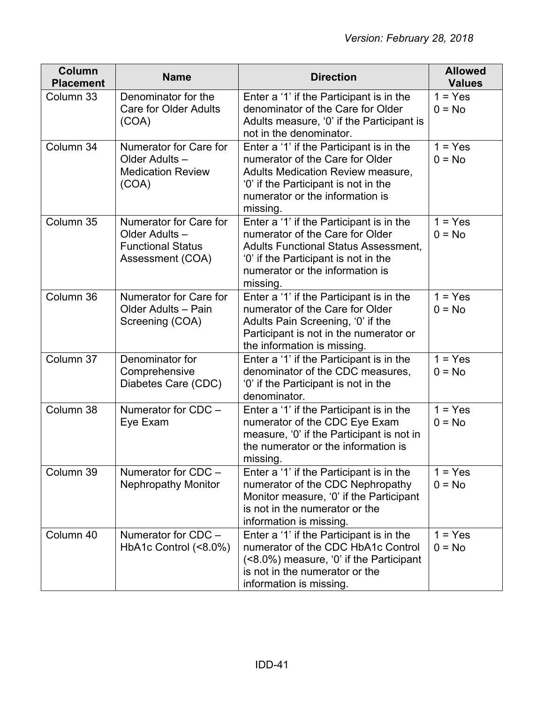| Column<br><b>Placement</b> | <b>Name</b>                                                                             | <b>Direction</b>                                                                                                                                                                                                  | <b>Allowed</b><br><b>Values</b> |
|----------------------------|-----------------------------------------------------------------------------------------|-------------------------------------------------------------------------------------------------------------------------------------------------------------------------------------------------------------------|---------------------------------|
| Column 33                  | Denominator for the<br><b>Care for Older Adults</b><br>(COA)                            | Enter a '1' if the Participant is in the<br>denominator of the Care for Older<br>Adults measure, '0' if the Participant is<br>not in the denominator.                                                             | $1 = Yes$<br>$0 = No$           |
| Column 34                  | Numerator for Care for<br>Older Adults-<br><b>Medication Review</b><br>(COA)            | Enter a '1' if the Participant is in the<br>numerator of the Care for Older<br><b>Adults Medication Review measure,</b><br>'0' if the Participant is not in the<br>numerator or the information is<br>missing.    | $1 = Yes$<br>$0 = No$           |
| Column 35                  | Numerator for Care for<br>Older Adults-<br><b>Functional Status</b><br>Assessment (COA) | Enter a '1' if the Participant is in the<br>numerator of the Care for Older<br><b>Adults Functional Status Assessment,</b><br>'0' if the Participant is not in the<br>numerator or the information is<br>missing. | $1 = Yes$<br>$0 = No$           |
| Column 36                  | Numerator for Care for<br>Older Adults - Pain<br>Screening (COA)                        | Enter a '1' if the Participant is in the<br>numerator of the Care for Older<br>Adults Pain Screening, '0' if the<br>Participant is not in the numerator or<br>the information is missing.                         | $1 = Yes$<br>$0 = No$           |
| Column 37                  | Denominator for<br>Comprehensive<br>Diabetes Care (CDC)                                 | Enter a '1' if the Participant is in the<br>denominator of the CDC measures,<br>'0' if the Participant is not in the<br>denominator.                                                                              | $1 = Yes$<br>$0 = No$           |
| Column 38                  | Numerator for CDC -<br>Eye Exam                                                         | Enter a '1' if the Participant is in the<br>numerator of the CDC Eye Exam<br>measure, '0' if the Participant is not in<br>the numerator or the information is<br>missing.                                         | $1 = Yes$<br>$0 = No$           |
| Column 39                  | Numerator for CDC -<br><b>Nephropathy Monitor</b>                                       | Enter a '1' if the Participant is in the<br>numerator of the CDC Nephropathy<br>Monitor measure, '0' if the Participant<br>is not in the numerator or the<br>information is missing.                              | $1 = Yes$<br>$0 = No$           |
| Column 40                  | Numerator for CDC -<br>HbA1c Control (<8.0%)                                            | Enter a '1' if the Participant is in the<br>numerator of the CDC HbA1c Control<br>(<8.0%) measure, '0' if the Participant<br>is not in the numerator or the<br>information is missing.                            | $1 = Yes$<br>$0 = No$           |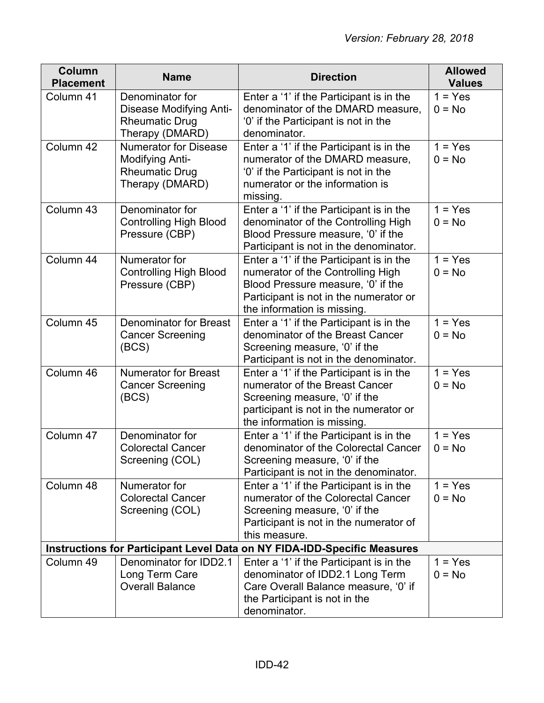| Column<br><b>Placement</b> | <b>Name</b>                                                                                   | <b>Direction</b>                                                                                                                                                                             | <b>Allowed</b><br><b>Values</b> |
|----------------------------|-----------------------------------------------------------------------------------------------|----------------------------------------------------------------------------------------------------------------------------------------------------------------------------------------------|---------------------------------|
| Column 41                  | Denominator for<br><b>Disease Modifying Anti-</b><br><b>Rheumatic Drug</b><br>Therapy (DMARD) | Enter a '1' if the Participant is in the<br>denominator of the DMARD measure,<br>'0' if the Participant is not in the<br>denominator.                                                        | $1 = Yes$<br>$0 = No$           |
| Column 42                  | <b>Numerator for Disease</b><br>Modifying Anti-<br><b>Rheumatic Drug</b><br>Therapy (DMARD)   | Enter a '1' if the Participant is in the<br>numerator of the DMARD measure,<br>'0' if the Participant is not in the<br>numerator or the information is<br>missing.                           | $1 = Yes$<br>$0 = No$           |
| Column 43                  | Denominator for<br><b>Controlling High Blood</b><br>Pressure (CBP)                            | Enter a '1' if the Participant is in the<br>denominator of the Controlling High<br>Blood Pressure measure, '0' if the<br>Participant is not in the denominator.                              | $1 = Yes$<br>$0 = No$           |
| Column 44                  | Numerator for<br><b>Controlling High Blood</b><br>Pressure (CBP)                              | Enter a '1' if the Participant is in the<br>numerator of the Controlling High<br>Blood Pressure measure, '0' if the<br>Participant is not in the numerator or<br>the information is missing. | $1 = Yes$<br>$0 = No$           |
| Column 45                  | <b>Denominator for Breast</b><br><b>Cancer Screening</b><br>(BCS)                             | Enter a '1' if the Participant is in the<br>denominator of the Breast Cancer<br>Screening measure, '0' if the<br>Participant is not in the denominator.                                      | $1 = Yes$<br>$0 = No$           |
| Column 46                  | <b>Numerator for Breast</b><br><b>Cancer Screening</b><br>(BCS)                               | Enter a '1' if the Participant is in the<br>numerator of the Breast Cancer<br>Screening measure, '0' if the<br>participant is not in the numerator or<br>the information is missing.         | $1 = Yes$<br>$0 = No$           |
| Column 47                  | Denominator for<br><b>Colorectal Cancer</b><br>Screening (COL)                                | Enter a '1' if the Participant is in the<br>denominator of the Colorectal Cancer<br>Screening measure, '0' if the<br>Participant is not in the denominator.                                  | $1 = Yes$<br>$0 = No$           |
| Column 48                  | Numerator for<br><b>Colorectal Cancer</b><br>Screening (COL)                                  | Enter a '1' if the Participant is in the<br>numerator of the Colorectal Cancer<br>Screening measure, '0' if the<br>Participant is not in the numerator of<br>this measure.                   | $1 = Yes$<br>$0 = No$           |
|                            |                                                                                               | <b>Instructions for Participant Level Data on NY FIDA-IDD-Specific Measures</b>                                                                                                              |                                 |
| Column 49                  | Denominator for IDD2.1<br>Long Term Care<br><b>Overall Balance</b>                            | Enter a '1' if the Participant is in the<br>denominator of IDD2.1 Long Term<br>Care Overall Balance measure, '0' if<br>the Participant is not in the<br>denominator.                         | $1 = Yes$<br>$0 = No$           |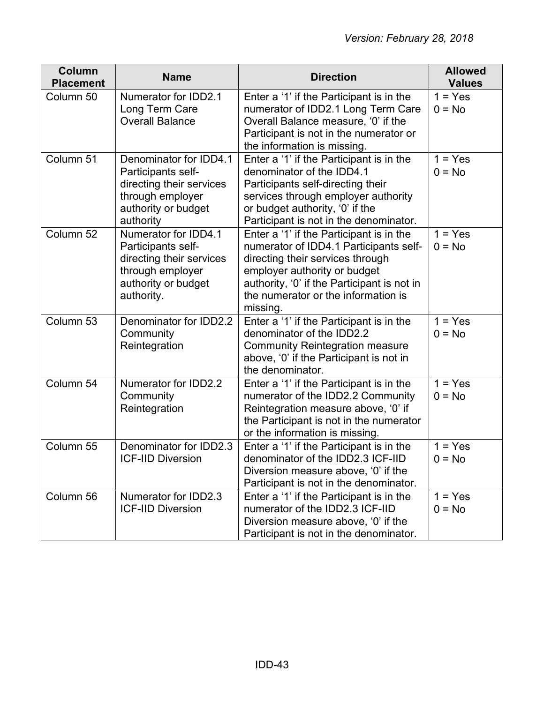| <b>Column</b><br><b>Placement</b> | <b>Name</b>                                                                                                                      | <b>Direction</b>                                                                                                                                                                                                                                         | <b>Allowed</b><br><b>Values</b> |
|-----------------------------------|----------------------------------------------------------------------------------------------------------------------------------|----------------------------------------------------------------------------------------------------------------------------------------------------------------------------------------------------------------------------------------------------------|---------------------------------|
| Column 50                         | Numerator for IDD2.1<br>Long Term Care<br><b>Overall Balance</b>                                                                 | Enter a '1' if the Participant is in the<br>numerator of IDD2.1 Long Term Care<br>Overall Balance measure, '0' if the<br>Participant is not in the numerator or<br>the information is missing.                                                           | $1 = Yes$<br>$0 = No$           |
| Column 51                         | Denominator for IDD4.1<br>Participants self-<br>directing their services<br>through employer<br>authority or budget<br>authority | Enter a '1' if the Participant is in the<br>denominator of the IDD4.1<br>Participants self-directing their<br>services through employer authority<br>or budget authority, '0' if the<br>Participant is not in the denominator.                           | $1 = Yes$<br>$0 = No$           |
| Column 52                         | Numerator for IDD4.1<br>Participants self-<br>directing their services<br>through employer<br>authority or budget<br>authority.  | Enter a '1' if the Participant is in the<br>numerator of IDD4.1 Participants self-<br>directing their services through<br>employer authority or budget<br>authority, '0' if the Participant is not in<br>the numerator or the information is<br>missing. | $1 = Yes$<br>$0 = No$           |
| Column 53                         | Denominator for IDD2.2<br>Community<br>Reintegration                                                                             | Enter a '1' if the Participant is in the<br>denominator of the IDD2.2<br><b>Community Reintegration measure</b><br>above, '0' if the Participant is not in<br>the denominator.                                                                           | $1 = Yes$<br>$0 = No$           |
| Column 54                         | Numerator for IDD2.2<br>Community<br>Reintegration                                                                               | Enter a '1' if the Participant is in the<br>numerator of the IDD2.2 Community<br>Reintegration measure above, '0' if<br>the Participant is not in the numerator<br>or the information is missing.                                                        | $1 = Yes$<br>$0 = No$           |
| Column 55                         | Denominator for IDD2.3<br><b>ICF-IID Diversion</b>                                                                               | Enter a '1' if the Participant is in the<br>denominator of the IDD2.3 ICF-IID<br>Diversion measure above, '0' if the<br>Participant is not in the denominator.                                                                                           | $1 = Yes$<br>$0 = No$           |
| Column 56                         | Numerator for IDD2.3<br><b>ICF-IID Diversion</b>                                                                                 | Enter a '1' if the Participant is in the<br>numerator of the IDD2.3 ICF-IID<br>Diversion measure above, '0' if the<br>Participant is not in the denominator.                                                                                             | $1 = Yes$<br>$0 = No$           |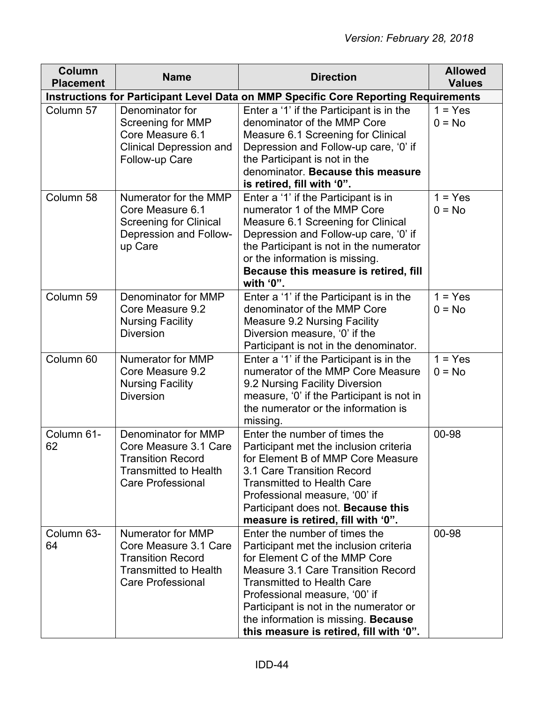| <b>Column</b><br><b>Placement</b> | <b>Name</b>                                                                                                                          | <b>Direction</b>                                                                                                                                                                                                                                                                                                                                 | <b>Allowed</b><br><b>Values</b> |  |  |
|-----------------------------------|--------------------------------------------------------------------------------------------------------------------------------------|--------------------------------------------------------------------------------------------------------------------------------------------------------------------------------------------------------------------------------------------------------------------------------------------------------------------------------------------------|---------------------------------|--|--|
|                                   | Instructions for Participant Level Data on MMP Specific Core Reporting Requirements                                                  |                                                                                                                                                                                                                                                                                                                                                  |                                 |  |  |
| Column 57                         | Denominator for<br>Screening for MMP<br>Core Measure 6.1<br><b>Clinical Depression and</b><br>Follow-up Care                         | Enter a '1' if the Participant is in the<br>denominator of the MMP Core<br>Measure 6.1 Screening for Clinical<br>Depression and Follow-up care, '0' if<br>the Participant is not in the<br>denominator. Because this measure<br>is retired, fill with '0".                                                                                       | $1 = Yes$<br>$0 = No$           |  |  |
| Column 58                         | Numerator for the MMP<br>Core Measure 6.1<br><b>Screening for Clinical</b><br>Depression and Follow-<br>up Care                      | Enter a '1' if the Participant is in<br>numerator 1 of the MMP Core<br>Measure 6.1 Screening for Clinical<br>Depression and Follow-up care, '0' if<br>the Participant is not in the numerator<br>or the information is missing.<br>Because this measure is retired, fill<br>with '0".                                                            | $1 = Yes$<br>$0 = No$           |  |  |
| Column 59                         | Denominator for MMP<br>Core Measure 9.2<br><b>Nursing Facility</b><br><b>Diversion</b>                                               | Enter a '1' if the Participant is in the<br>denominator of the MMP Core<br><b>Measure 9.2 Nursing Facility</b><br>Diversion measure, '0' if the<br>Participant is not in the denominator.                                                                                                                                                        | $1 = Yes$<br>$0 = No$           |  |  |
| Column 60                         | Numerator for MMP<br>Core Measure 9.2<br><b>Nursing Facility</b><br><b>Diversion</b>                                                 | Enter a '1' if the Participant is in the<br>numerator of the MMP Core Measure<br>9.2 Nursing Facility Diversion<br>measure, '0' if the Participant is not in<br>the numerator or the information is<br>missing.                                                                                                                                  | $1 = Yes$<br>$0 = No$           |  |  |
| Column 61-<br>62                  | Denominator for MMP<br>Core Measure 3.1 Care<br><b>Transition Record</b><br><b>Transmitted to Health</b><br><b>Care Professional</b> | Enter the number of times the<br>Participant met the inclusion criteria<br>for Element B of MMP Core Measure<br>3.1 Care Transition Record<br><b>Transmitted to Health Care</b><br>Professional measure, '00' if<br>Participant does not. Because this<br>measure is retired, fill with '0".                                                     | 00-98                           |  |  |
| Column 63-<br>64                  | Numerator for MMP<br>Core Measure 3.1 Care<br><b>Transition Record</b><br><b>Transmitted to Health</b><br><b>Care Professional</b>   | Enter the number of times the<br>Participant met the inclusion criteria<br>for Element C of the MMP Core<br>Measure 3.1 Care Transition Record<br><b>Transmitted to Health Care</b><br>Professional measure, '00' if<br>Participant is not in the numerator or<br>the information is missing. Because<br>this measure is retired, fill with '0". | 00-98                           |  |  |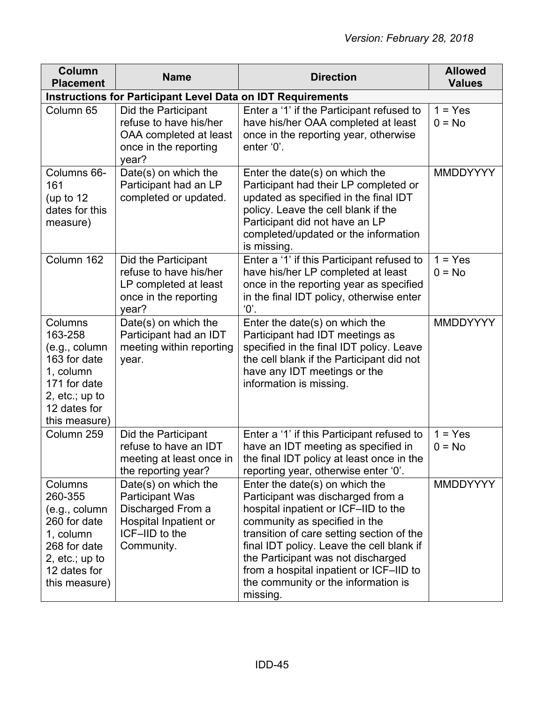| Column<br><b>Placement</b>                                                                                                             | <b>Name</b>                                                                                                                  | <b>Direction</b>                                                                                                                                                                                                                                                                                                                                                           | <b>Allowed</b><br><b>Values</b> |  |
|----------------------------------------------------------------------------------------------------------------------------------------|------------------------------------------------------------------------------------------------------------------------------|----------------------------------------------------------------------------------------------------------------------------------------------------------------------------------------------------------------------------------------------------------------------------------------------------------------------------------------------------------------------------|---------------------------------|--|
| <b>Instructions for Participant Level Data on IDT Requirements</b>                                                                     |                                                                                                                              |                                                                                                                                                                                                                                                                                                                                                                            |                                 |  |
| Column 65                                                                                                                              | Did the Participant<br>refuse to have his/her<br>OAA completed at least<br>once in the reporting<br>year?                    | Enter a '1' if the Participant refused to<br>have his/her OAA completed at least<br>once in the reporting year, otherwise<br>enter '0'.                                                                                                                                                                                                                                    | $1 = Yes$<br>$0 = No$           |  |
| Columns 66-<br>161<br>(up to $12$<br>dates for this<br>measure)                                                                        | Date(s) on which the<br>Participant had an LP<br>completed or updated.                                                       | Enter the date(s) on which the<br>Participant had their LP completed or<br>updated as specified in the final IDT<br>policy. Leave the cell blank if the<br>Participant did not have an LP<br>completed/updated or the information<br>is missing.                                                                                                                           | <b>MMDDYYYY</b>                 |  |
| Column 162                                                                                                                             | Did the Participant<br>refuse to have his/her<br>LP completed at least<br>once in the reporting<br>year?                     | Enter a '1' if this Participant refused to<br>have his/her LP completed at least<br>once in the reporting year as specified<br>in the final IDT policy, otherwise enter<br>'0'.                                                                                                                                                                                            | $1 = Yes$<br>$0 = No$           |  |
| Columns<br>163-258<br>(e.g., column)<br>163 for date<br>1, column<br>171 for date<br>2, $etc.; up to$<br>12 dates for<br>this measure) | Date(s) on which the<br>Participant had an IDT<br>meeting within reporting<br>year.                                          | Enter the date(s) on which the<br>Participant had IDT meetings as<br>specified in the final IDT policy. Leave<br>the cell blank if the Participant did not<br>have any IDT meetings or the<br>information is missing.                                                                                                                                                      | <b>MMDDYYYY</b>                 |  |
| Column 259                                                                                                                             | Did the Participant<br>refuse to have an IDT<br>meeting at least once in<br>the reporting year?                              | Enter a '1' if this Participant refused to<br>have an IDT meeting as specified in<br>the final IDT policy at least once in the<br>reporting year, otherwise enter '0'.                                                                                                                                                                                                     | $1 = Yes$<br>$0 = No$           |  |
| Columns<br>260-355<br>(e.g., column)<br>260 for date<br>1, column<br>268 for date<br>2, $etc.; up to$<br>12 dates for<br>this measure) | Date(s) on which the<br><b>Participant Was</b><br>Discharged From a<br>Hospital Inpatient or<br>ICF-IID to the<br>Community. | Enter the date(s) on which the<br>Participant was discharged from a<br>hospital inpatient or ICF-IID to the<br>community as specified in the<br>transition of care setting section of the<br>final IDT policy. Leave the cell blank if<br>the Participant was not discharged<br>from a hospital inpatient or ICF-IID to<br>the community or the information is<br>missing. | <b>MMDDYYYY</b>                 |  |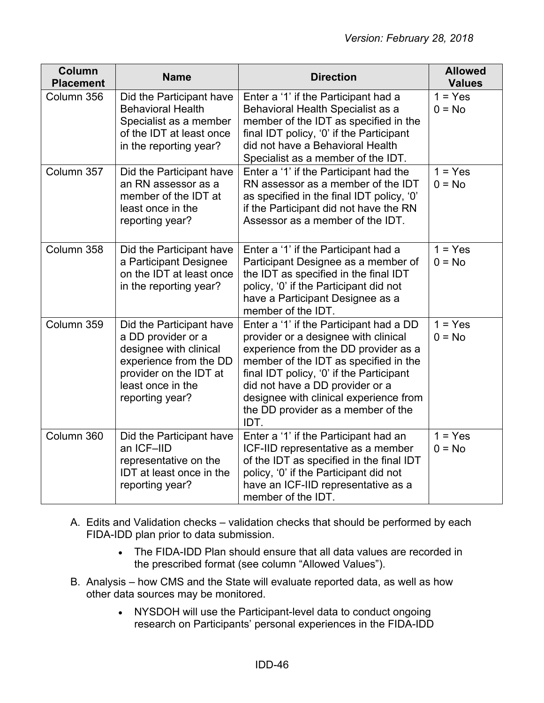| <b>Column</b><br><b>Placement</b> | <b>Name</b>                                                                                                                                                          | <b>Direction</b>                                                                                                                                                                                                                                                                                                                        | <b>Allowed</b><br><b>Values</b> |
|-----------------------------------|----------------------------------------------------------------------------------------------------------------------------------------------------------------------|-----------------------------------------------------------------------------------------------------------------------------------------------------------------------------------------------------------------------------------------------------------------------------------------------------------------------------------------|---------------------------------|
| Column 356                        | Did the Participant have<br><b>Behavioral Health</b><br>Specialist as a member<br>of the IDT at least once<br>in the reporting year?                                 | Enter a '1' if the Participant had a<br>Behavioral Health Specialist as a<br>member of the IDT as specified in the<br>final IDT policy, '0' if the Participant<br>did not have a Behavioral Health<br>Specialist as a member of the IDT.                                                                                                | $1 = Yes$<br>$0 = No$           |
| Column 357                        | Did the Participant have<br>an RN assessor as a<br>member of the IDT at<br>least once in the<br>reporting year?                                                      | Enter a '1' if the Participant had the<br>RN assessor as a member of the IDT<br>as specified in the final IDT policy, '0'<br>if the Participant did not have the RN<br>Assessor as a member of the IDT.                                                                                                                                 | $1 = Yes$<br>$0 = No$           |
| Column 358                        | Did the Participant have<br>a Participant Designee<br>on the IDT at least once<br>in the reporting year?                                                             | Enter a '1' if the Participant had a<br>Participant Designee as a member of<br>the IDT as specified in the final IDT<br>policy, '0' if the Participant did not<br>have a Participant Designee as a<br>member of the IDT.                                                                                                                | $1 = Yes$<br>$0 = No$           |
| Column 359                        | Did the Participant have<br>a DD provider or a<br>designee with clinical<br>experience from the DD<br>provider on the IDT at<br>least once in the<br>reporting year? | Enter a '1' if the Participant had a DD<br>provider or a designee with clinical<br>experience from the DD provider as a<br>member of the IDT as specified in the<br>final IDT policy, '0' if the Participant<br>did not have a DD provider or a<br>designee with clinical experience from<br>the DD provider as a member of the<br>IDT. | $1 = Yes$<br>$0 = No$           |
| Column 360                        | Did the Participant have<br>an ICF-IID<br>representative on the<br>IDT at least once in the<br>reporting year?                                                       | Enter a '1' if the Participant had an<br>ICF-IID representative as a member<br>of the IDT as specified in the final IDT<br>policy, '0' if the Participant did not<br>have an ICF-IID representative as a<br>member of the IDT.                                                                                                          | $1 = Yes$<br>$0 = No$           |

- A. Edits and Validation checks validation checks that should be performed by each FIDA-IDD plan prior to data submission.
	- The FIDA-IDD Plan should ensure that all data values are recorded in the prescribed format (see column "Allowed Values").
- B. Analysis how CMS and the State will evaluate reported data, as well as how other data sources may be monitored.
	- NYSDOH will use the Participant-level data to conduct ongoing research on Participants' personal experiences in the FIDA-IDD